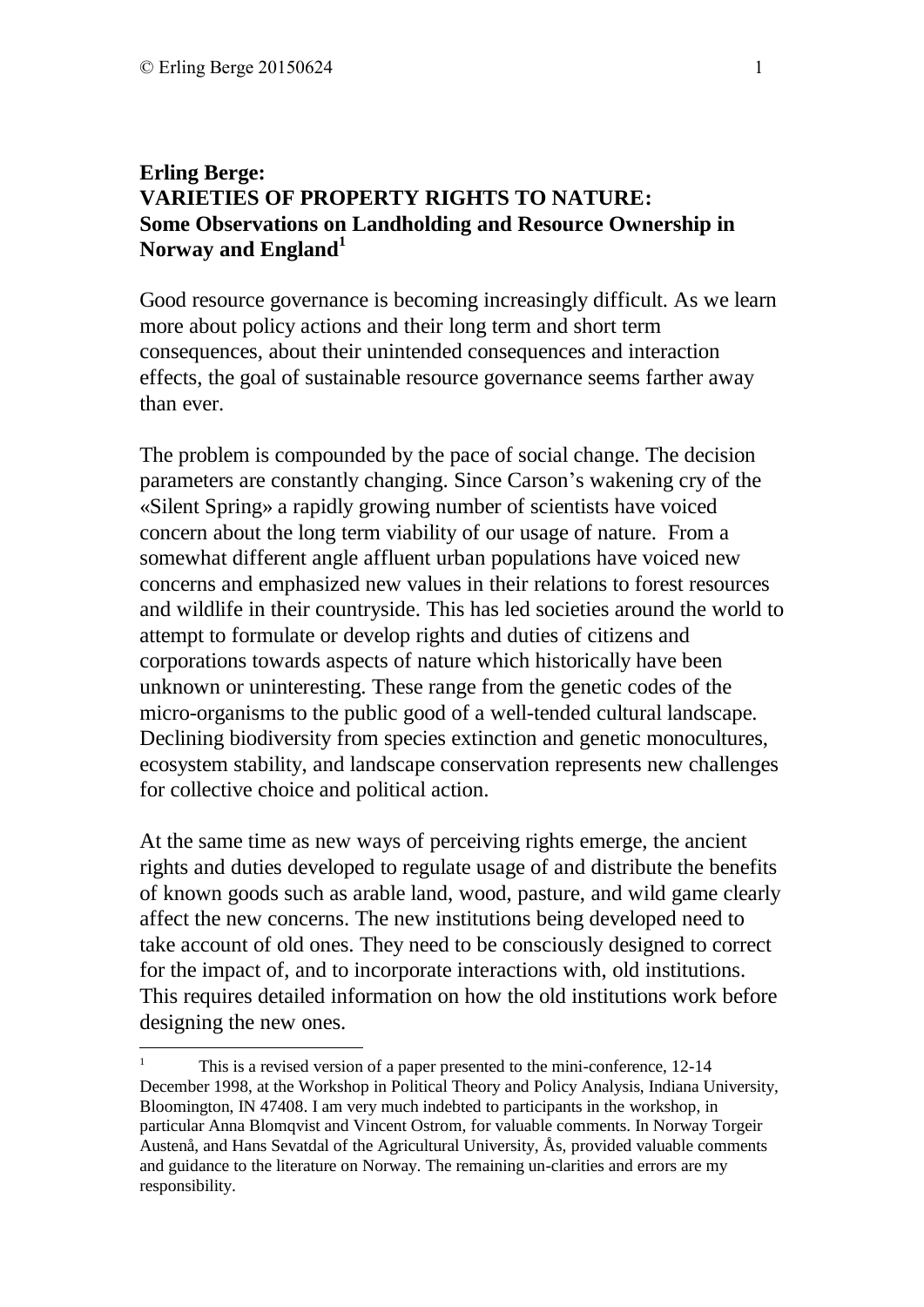<u>.</u>

## **Erling Berge: VARIETIES OF PROPERTY RIGHTS TO NATURE: Some Observations on Landholding and Resource Ownership in Norway and England<sup>1</sup>**

Good resource governance is becoming increasingly difficult. As we learn more about policy actions and their long term and short term consequences, about their unintended consequences and interaction effects, the goal of sustainable resource governance seems farther away than ever.

The problem is compounded by the pace of social change. The decision parameters are constantly changing. Since Carson's wakening cry of the «Silent Spring» a rapidly growing number of scientists have voiced concern about the long term viability of our usage of nature. From a somewhat different angle affluent urban populations have voiced new concerns and emphasized new values in their relations to forest resources and wildlife in their countryside. This has led societies around the world to attempt to formulate or develop rights and duties of citizens and corporations towards aspects of nature which historically have been unknown or uninteresting. These range from the genetic codes of the micro-organisms to the public good of a well-tended cultural landscape. Declining biodiversity from species extinction and genetic monocultures, ecosystem stability, and landscape conservation represents new challenges for collective choice and political action.

At the same time as new ways of perceiving rights emerge, the ancient rights and duties developed to regulate usage of and distribute the benefits of known goods such as arable land, wood, pasture, and wild game clearly affect the new concerns. The new institutions being developed need to take account of old ones. They need to be consciously designed to correct for the impact of, and to incorporate interactions with, old institutions. This requires detailed information on how the old institutions work before designing the new ones.

<sup>1</sup> This is a revised version of a paper presented to the mini-conference, 12-14 December 1998, at the Workshop in Political Theory and Policy Analysis, Indiana University, Bloomington, IN 47408. I am very much indebted to participants in the workshop, in particular Anna Blomqvist and Vincent Ostrom, for valuable comments. In Norway Torgeir Austenå, and Hans Sevatdal of the Agricultural University, Ås, provided valuable comments and guidance to the literature on Norway. The remaining un-clarities and errors are my responsibility.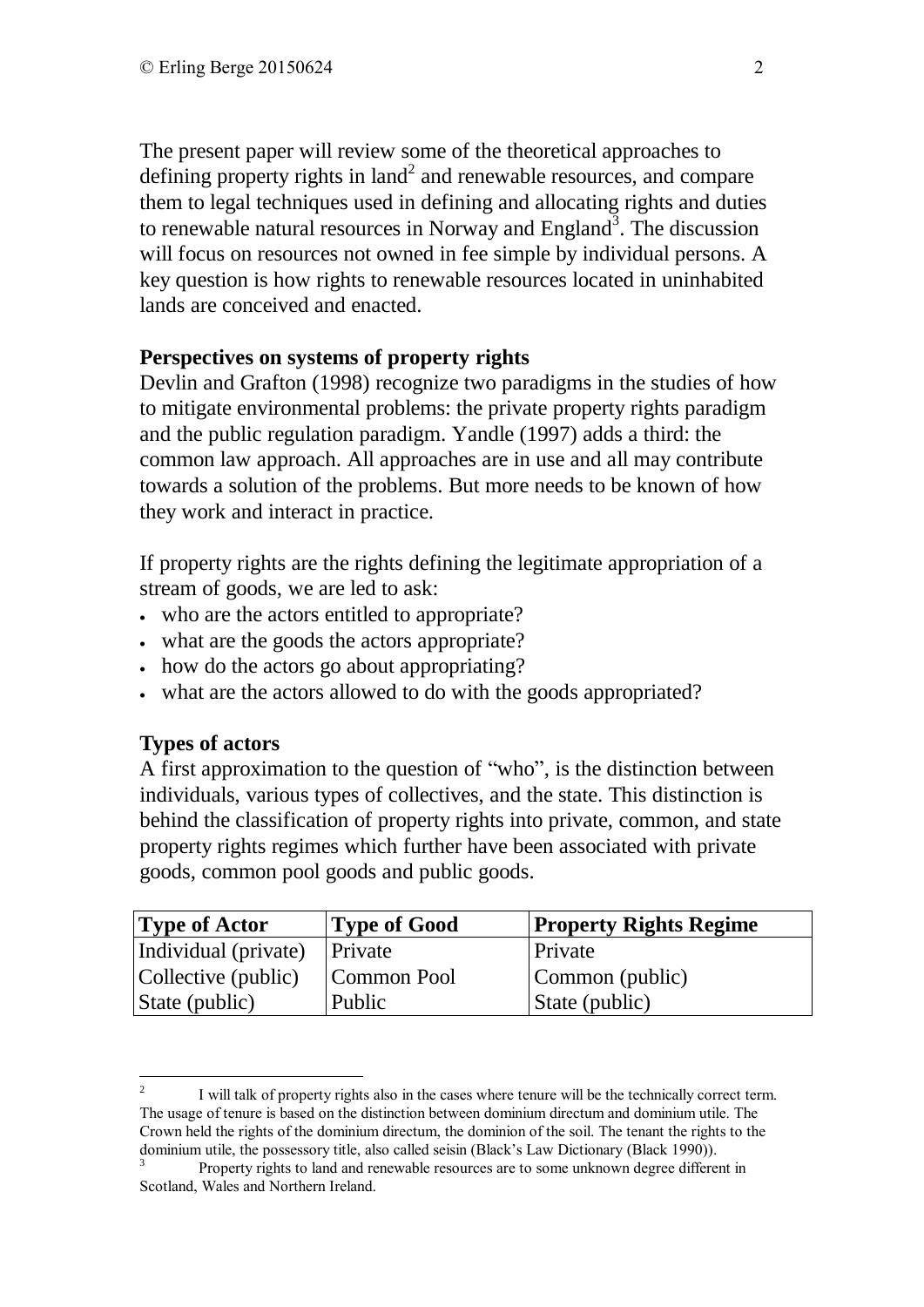The present paper will review some of the theoretical approaches to defining property rights in  $land<sup>2</sup>$  and renewable resources, and compare them to legal techniques used in defining and allocating rights and duties to renewable natural resources in Norway and England<sup>3</sup>. The discussion will focus on resources not owned in fee simple by individual persons. A key question is how rights to renewable resources located in uninhabited lands are conceived and enacted.

#### **Perspectives on systems of property rights**

Devlin and Grafton (1998) recognize two paradigms in the studies of how to mitigate environmental problems: the private property rights paradigm and the public regulation paradigm. Yandle (1997) adds a third: the common law approach. All approaches are in use and all may contribute towards a solution of the problems. But more needs to be known of how they work and interact in practice.

If property rights are the rights defining the legitimate appropriation of a stream of goods, we are led to ask:

- who are the actors entitled to appropriate?
- what are the goods the actors appropriate?
- how do the actors go about appropriating?
- what are the actors allowed to do with the goods appropriated?

#### **Types of actors**

A first approximation to the question of "who", is the distinction between individuals, various types of collectives, and the state. This distinction is behind the classification of property rights into private, common, and state property rights regimes which further have been associated with private goods, common pool goods and public goods.

| <b>Type of Actor</b> | <b>Type of Good</b> | <b>Property Rights Regime</b> |
|----------------------|---------------------|-------------------------------|
| Individual (private) | Private             | Private                       |
| Collective (public)  | Common Pool         | Common (public)               |
| State (public)       | Public              | State (public)                |

 $\frac{1}{2}$ I will talk of property rights also in the cases where tenure will be the technically correct term. The usage of tenure is based on the distinction between dominium directum and dominium utile. The Crown held the rights of the dominium directum, the dominion of the soil. The tenant the rights to the dominium utile, the possessory title, also called seisin (Black's Law Dictionary (Black 1990)).

Property rights to land and renewable resources are to some unknown degree different in Scotland, Wales and Northern Ireland.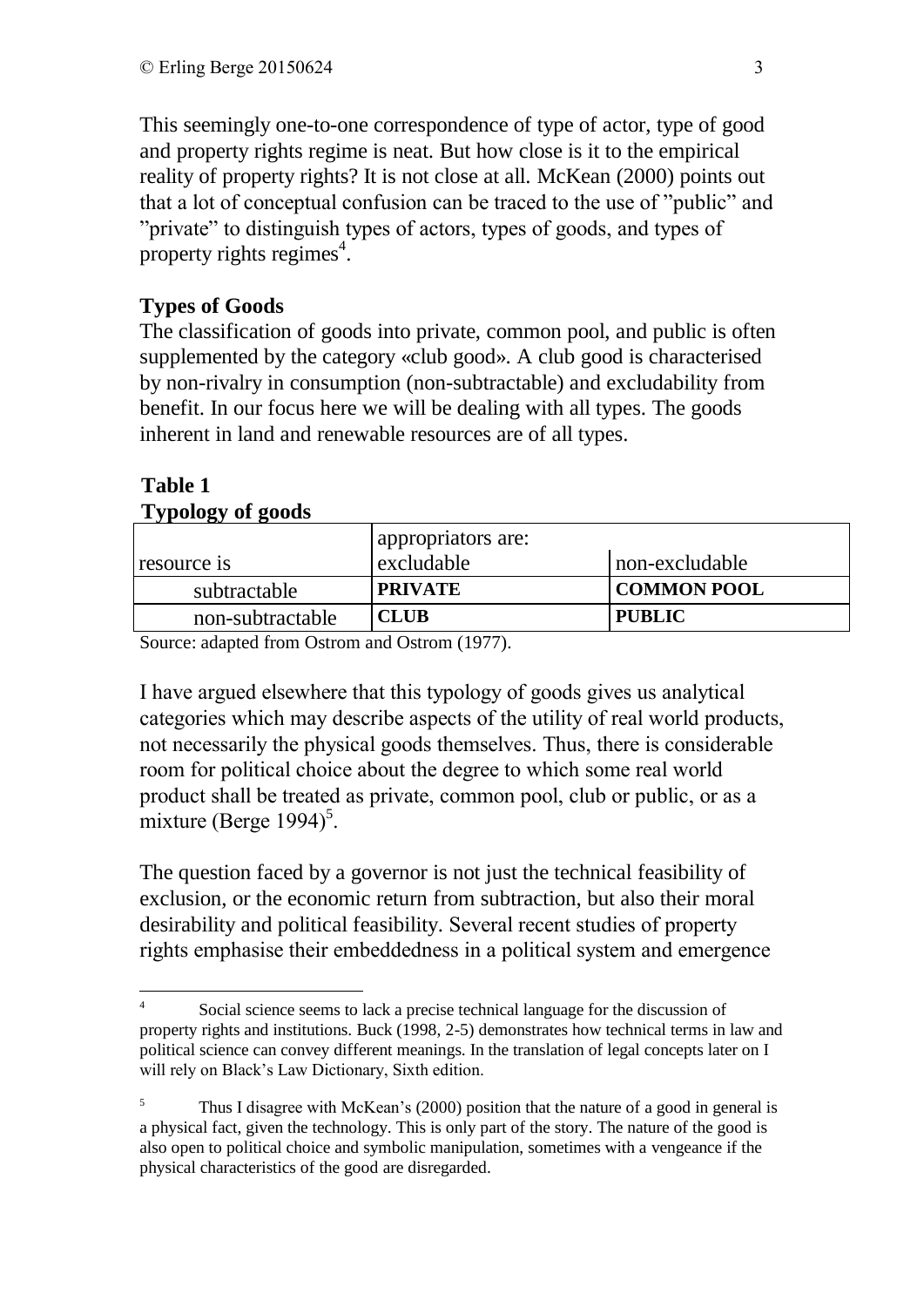This seemingly one-to-one correspondence of type of actor, type of good and property rights regime is neat. But how close is it to the empirical reality of property rights? It is not close at all. McKean (2000) points out that a lot of conceptual confusion can be traced to the use of "public" and "private" to distinguish types of actors, types of goods, and types of property rights regimes<sup>4</sup>.

# **Types of Goods**

The classification of goods into private, common pool, and public is often supplemented by the category «club good». A club good is characterised by non-rivalry in consumption (non-subtractable) and excludability from benefit. In our focus here we will be dealing with all types. The goods inherent in land and renewable resources are of all types.

| $\sim$ $\mu$ $\sim$ $\mu$ $\sim$ $\mu$ $\sim$ $\mu$ |                    |                    |  |
|-----------------------------------------------------|--------------------|--------------------|--|
|                                                     | appropriators are: |                    |  |
| resource is                                         | excludable         | non-excludable     |  |
| subtractable                                        | <b>PRIVATE</b>     | <b>COMMON POOL</b> |  |
| non-subtractable                                    | <b>CLUB</b>        | <b>PUBLIC</b>      |  |

#### **Table 1 Typology of goods**

Source: adapted from Ostrom and Ostrom (1977).

I have argued elsewhere that this typology of goods gives us analytical categories which may describe aspects of the utility of real world products, not necessarily the physical goods themselves. Thus, there is considerable room for political choice about the degree to which some real world product shall be treated as private, common pool, club or public, or as a  $\frac{1}{2}$  mixture (Berge 1994)<sup>5</sup>.

The question faced by a governor is not just the technical feasibility of exclusion, or the economic return from subtraction, but also their moral desirability and political feasibility. Several recent studies of property rights emphasise their embeddedness in a political system and emergence

<sup>&</sup>lt;u>.</u> 4 Social science seems to lack a precise technical language for the discussion of property rights and institutions. Buck (1998, 2-5) demonstrates how technical terms in law and political science can convey different meanings. In the translation of legal concepts later on I will rely on Black's Law Dictionary, Sixth edition.

<sup>&</sup>lt;sup>5</sup> Thus I disagree with McKean's (2000) position that the nature of a good in general is a physical fact, given the technology. This is only part of the story. The nature of the good is also open to political choice and symbolic manipulation, sometimes with a vengeance if the physical characteristics of the good are disregarded.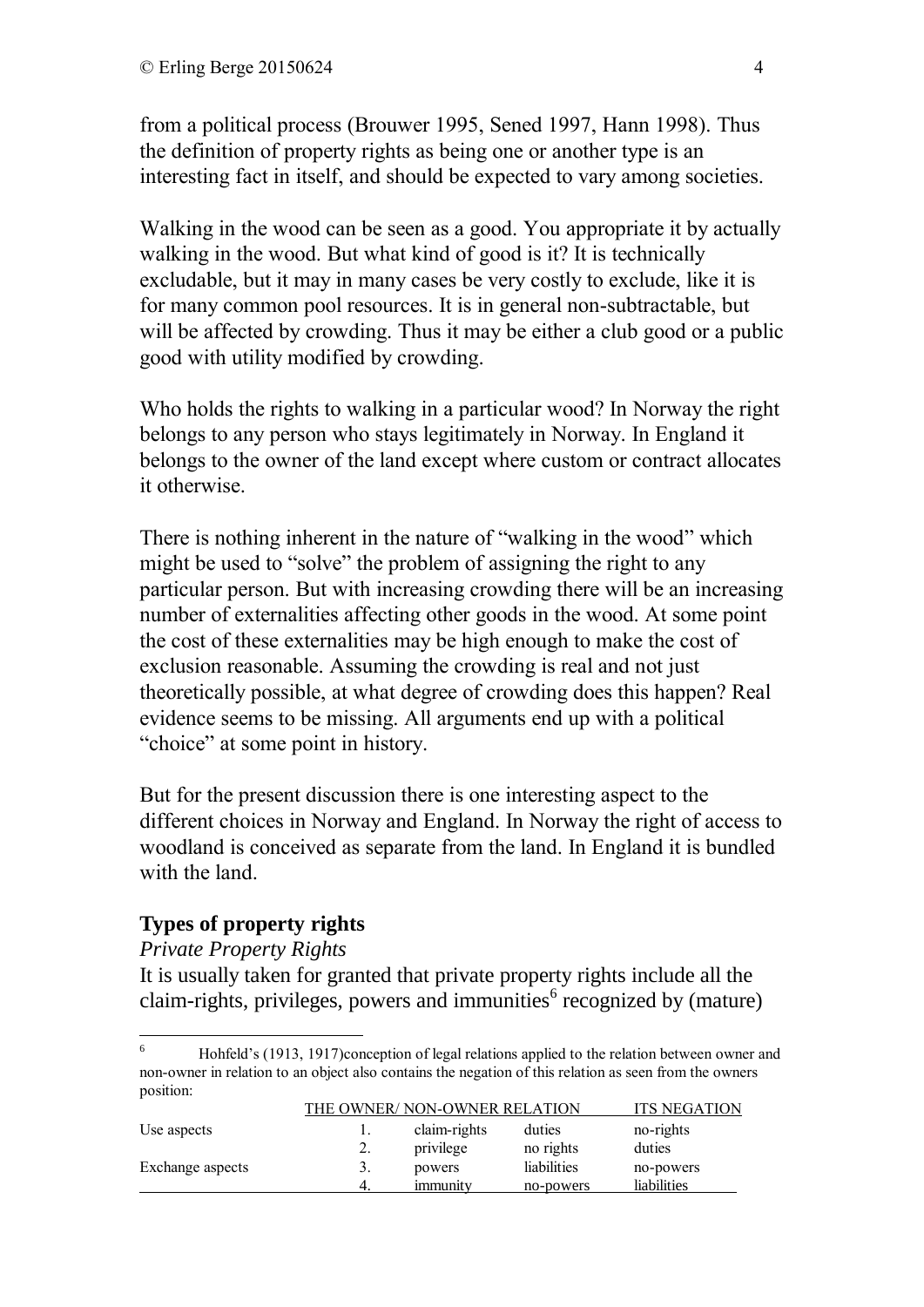from a political process (Brouwer 1995, Sened 1997, Hann 1998). Thus the definition of property rights as being one or another type is an interesting fact in itself, and should be expected to vary among societies.

Walking in the wood can be seen as a good. You appropriate it by actually walking in the wood. But what kind of good is it? It is technically excludable, but it may in many cases be very costly to exclude, like it is for many common pool resources. It is in general non-subtractable, but will be affected by crowding. Thus it may be either a club good or a public good with utility modified by crowding.

Who holds the rights to walking in a particular wood? In Norway the right belongs to any person who stays legitimately in Norway. In England it belongs to the owner of the land except where custom or contract allocates it otherwise.

There is nothing inherent in the nature of "walking in the wood" which might be used to "solve" the problem of assigning the right to any particular person. But with increasing crowding there will be an increasing number of externalities affecting other goods in the wood. At some point the cost of these externalities may be high enough to make the cost of exclusion reasonable. Assuming the crowding is real and not just theoretically possible, at what degree of crowding does this happen? Real evidence seems to be missing. All arguments end up with a political "choice" at some point in history.

But for the present discussion there is one interesting aspect to the different choices in Norway and England. In Norway the right of access to woodland is conceived as separate from the land. In England it is bundled with the land.

# **Types of property rights**

#### *Private Property Rights*

It is usually taken for granted that private property rights include all the claim-rights, privileges, powers and immunities $^6$  recognized by (mature)

<sup>1</sup> <sup>6</sup> Hohfeld's (1913, 1917)conception of legal relations applied to the relation between owner and non-owner in relation to an object also contains the negation of this relation as seen from the owners position:

|                  | THE OWNER/NON-OWNER RELATION | <b>ITS NEGATION</b> |             |             |
|------------------|------------------------------|---------------------|-------------|-------------|
| Use aspects      |                              | claim-rights        | duties      | no-rights   |
|                  | ۷.                           | privilege           | no rights   | duties      |
| Exchange aspects |                              | powers              | liabilities | no-powers   |
|                  |                              | immunity            | no-powers   | liabilities |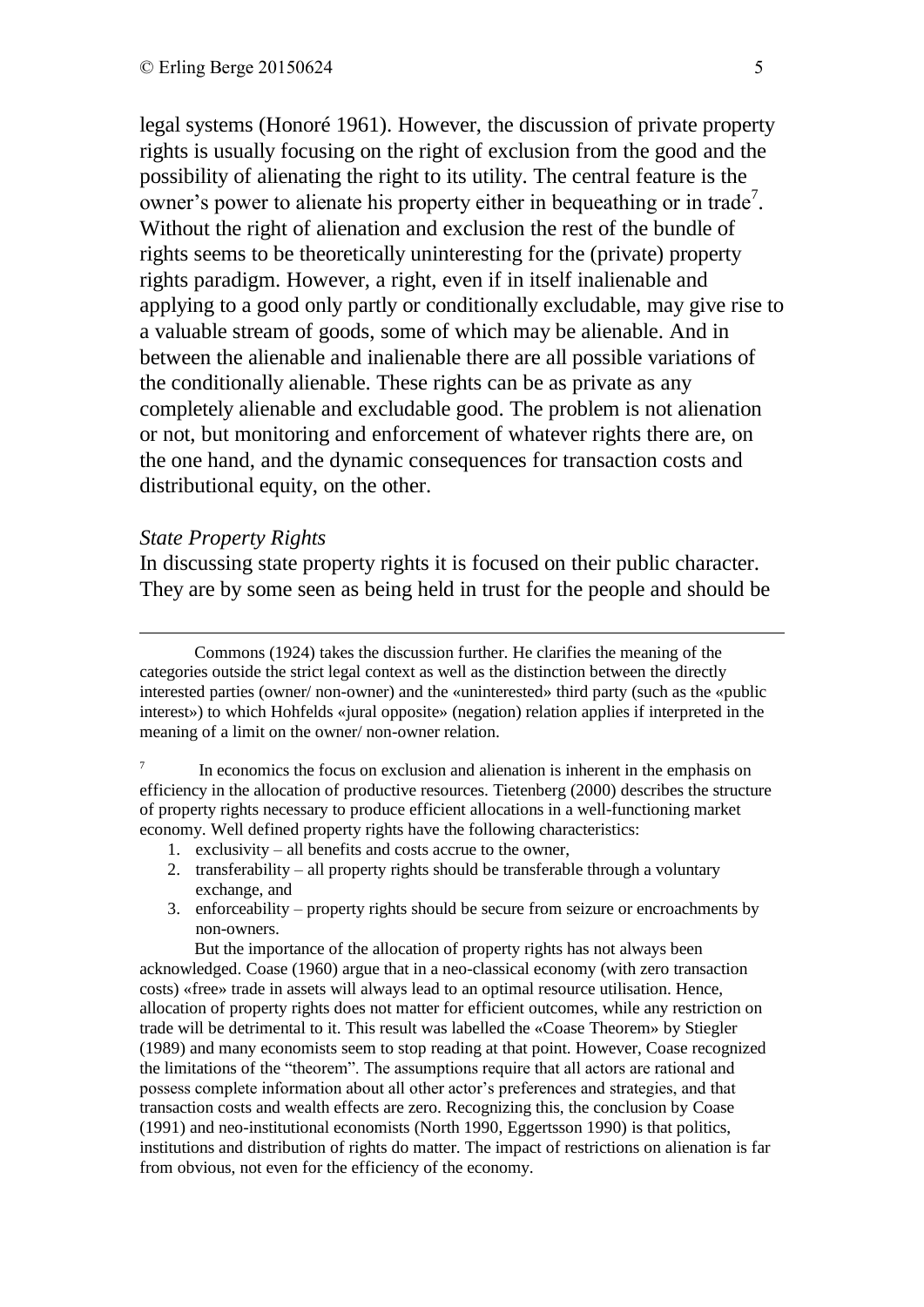legal systems (Honoré 1961). However, the discussion of private property rights is usually focusing on the right of exclusion from the good and the possibility of alienating the right to its utility. The central feature is the owner's power to alienate his property either in bequeathing or in trade<sup>7</sup>. Without the right of alienation and exclusion the rest of the bundle of rights seems to be theoretically uninteresting for the (private) property rights paradigm. However, a right, even if in itself inalienable and applying to a good only partly or conditionally excludable, may give rise to a valuable stream of goods, some of which may be alienable. And in between the alienable and inalienable there are all possible variations of the conditionally alienable. These rights can be as private as any completely alienable and excludable good. The problem is not alienation or not, but monitoring and enforcement of whatever rights there are, on the one hand, and the dynamic consequences for transaction costs and distributional equity, on the other.

#### *State Property Rights*

<u>.</u>

In discussing state property rights it is focused on their public character. They are by some seen as being held in trust for the people and should be

Commons (1924) takes the discussion further. He clarifies the meaning of the categories outside the strict legal context as well as the distinction between the directly interested parties (owner/ non-owner) and the «uninterested» third party (such as the «public interest») to which Hohfelds «jural opposite» (negation) relation applies if interpreted in the meaning of a limit on the owner/ non-owner relation.

7 In economics the focus on exclusion and alienation is inherent in the emphasis on efficiency in the allocation of productive resources. Tietenberg (2000) describes the structure of property rights necessary to produce efficient allocations in a well-functioning market economy. Well defined property rights have the following characteristics:

- 1. exclusivity all benefits and costs accrue to the owner,
- 2. transferability all property rights should be transferable through a voluntary exchange, and
- 3. enforceability property rights should be secure from seizure or encroachments by non-owners.

But the importance of the allocation of property rights has not always been acknowledged. Coase (1960) argue that in a neo-classical economy (with zero transaction costs) «free» trade in assets will always lead to an optimal resource utilisation. Hence, allocation of property rights does not matter for efficient outcomes, while any restriction on trade will be detrimental to it. This result was labelled the «Coase Theorem» by Stiegler (1989) and many economists seem to stop reading at that point. However, Coase recognized the limitations of the "theorem". The assumptions require that all actors are rational and possess complete information about all other actor's preferences and strategies, and that transaction costs and wealth effects are zero. Recognizing this, the conclusion by Coase (1991) and neo-institutional economists (North 1990, Eggertsson 1990) is that politics, institutions and distribution of rights do matter. The impact of restrictions on alienation is far from obvious, not even for the efficiency of the economy.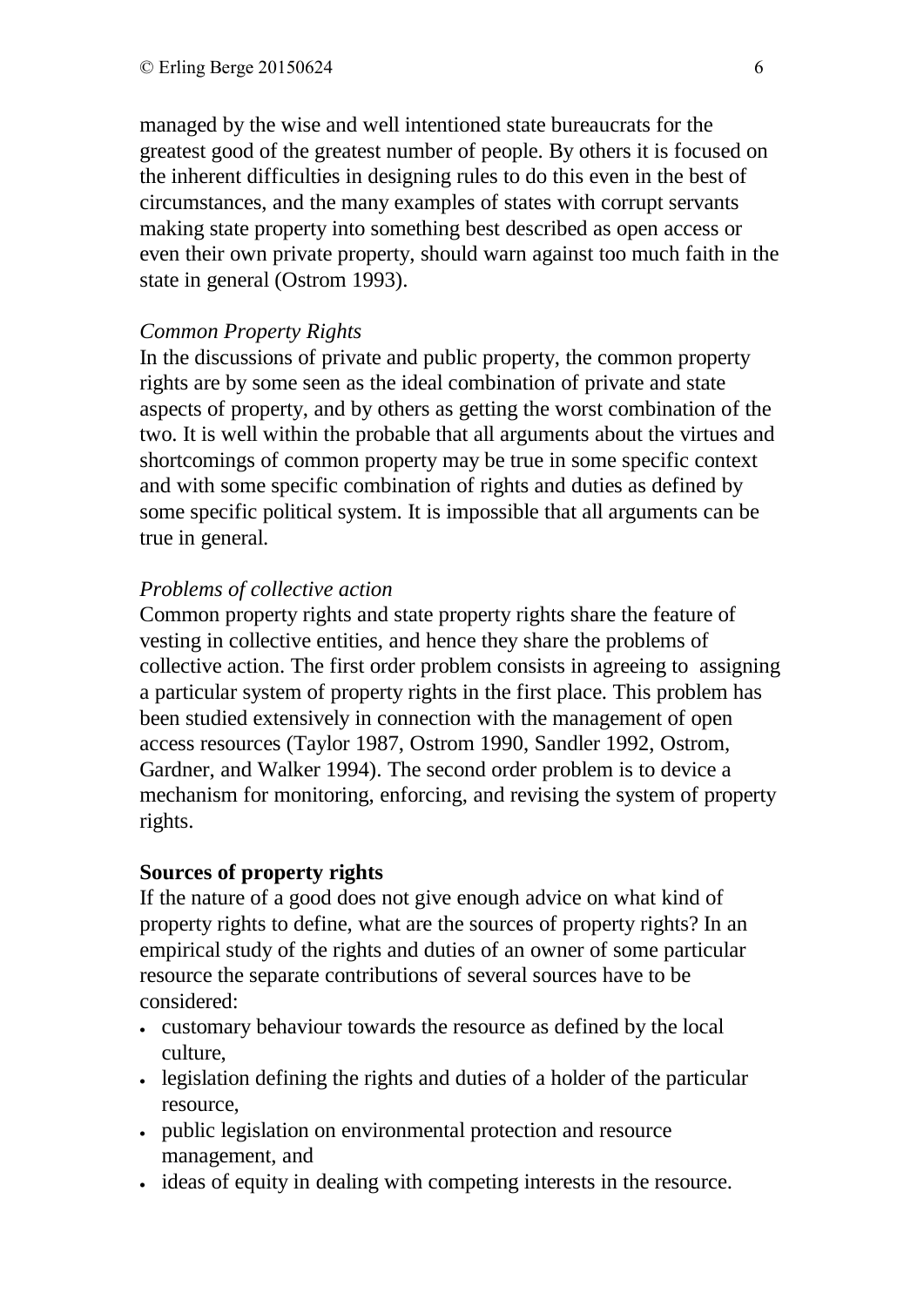managed by the wise and well intentioned state bureaucrats for the greatest good of the greatest number of people. By others it is focused on the inherent difficulties in designing rules to do this even in the best of circumstances, and the many examples of states with corrupt servants making state property into something best described as open access or even their own private property, should warn against too much faith in the state in general (Ostrom 1993).

#### *Common Property Rights*

In the discussions of private and public property, the common property rights are by some seen as the ideal combination of private and state aspects of property, and by others as getting the worst combination of the two. It is well within the probable that all arguments about the virtues and shortcomings of common property may be true in some specific context and with some specific combination of rights and duties as defined by some specific political system. It is impossible that all arguments can be true in general.

## *Problems of collective action*

Common property rights and state property rights share the feature of vesting in collective entities, and hence they share the problems of collective action. The first order problem consists in agreeing to assigning a particular system of property rights in the first place. This problem has been studied extensively in connection with the management of open access resources (Taylor 1987, Ostrom 1990, Sandler 1992, Ostrom, Gardner, and Walker 1994). The second order problem is to device a mechanism for monitoring, enforcing, and revising the system of property rights.

# **Sources of property rights**

If the nature of a good does not give enough advice on what kind of property rights to define, what are the sources of property rights? In an empirical study of the rights and duties of an owner of some particular resource the separate contributions of several sources have to be considered:

- customary behaviour towards the resource as defined by the local culture,
- legislation defining the rights and duties of a holder of the particular resource,
- public legislation on environmental protection and resource management, and
- ideas of equity in dealing with competing interests in the resource.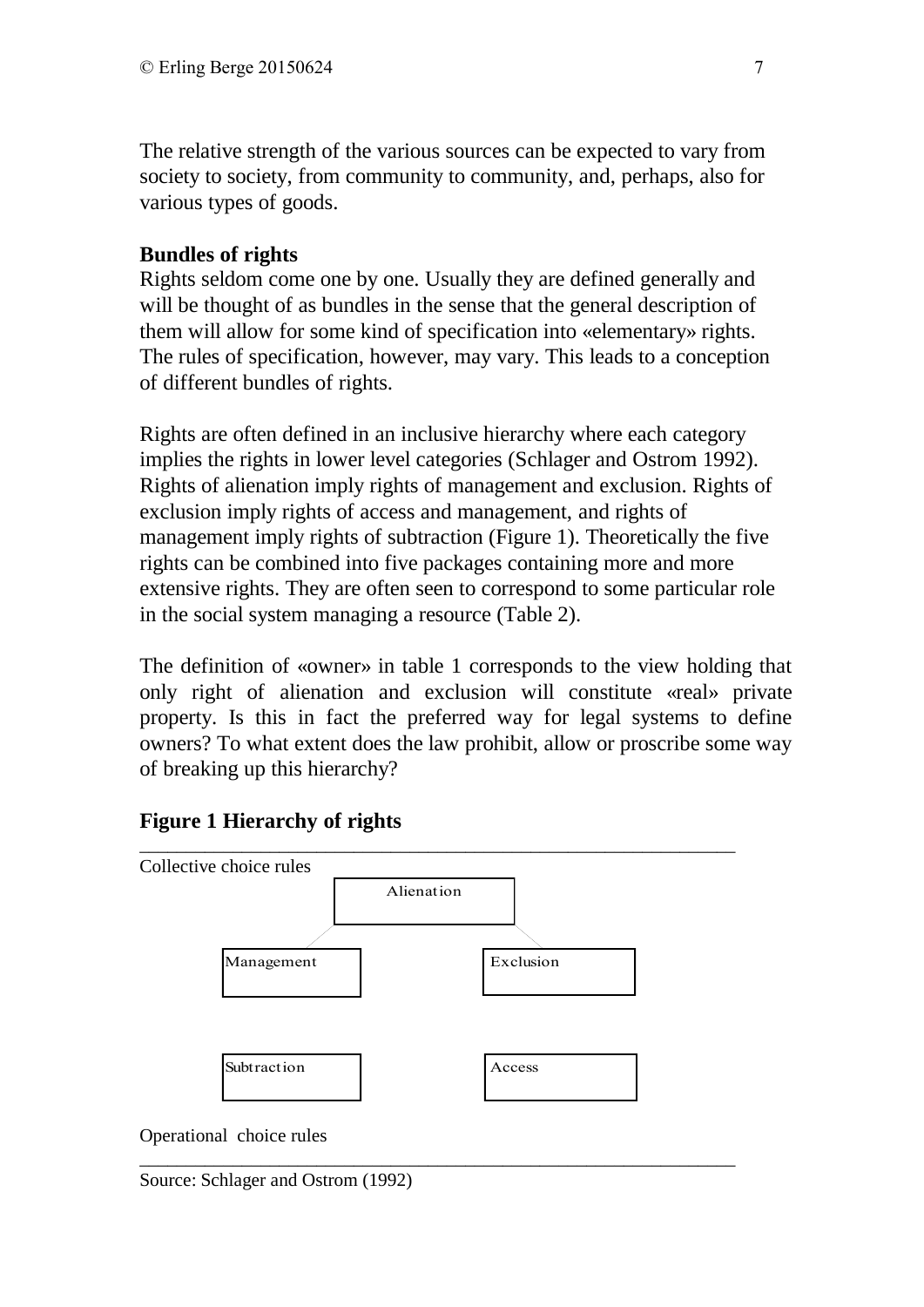The relative strength of the various sources can be expected to vary from society to society, from community to community, and, perhaps, also for various types of goods.

## **Bundles of rights**

Rights seldom come one by one. Usually they are defined generally and will be thought of as bundles in the sense that the general description of them will allow for some kind of specification into «elementary» rights. The rules of specification, however, may vary. This leads to a conception of different bundles of rights.

Rights are often defined in an inclusive hierarchy where each category implies the rights in lower level categories (Schlager and Ostrom 1992). Rights of alienation imply rights of management and exclusion. Rights of exclusion imply rights of access and management, and rights of management imply rights of subtraction (Figure 1). Theoretically the five rights can be combined into five packages containing more and more extensive rights. They are often seen to correspond to some particular role in the social system managing a resource (Table 2).

The definition of «owner» in table 1 corresponds to the view holding that only right of alienation and exclusion will constitute «real» private property. Is this in fact the preferred way for legal systems to define owners? To what extent does the law prohibit, allow or proscribe some way of breaking up this hierarchy?

# **Figure 1 Hierarchy of rights**



\_\_\_\_\_\_\_\_\_\_\_\_\_\_\_\_\_\_\_\_\_\_\_\_\_\_\_\_\_\_\_\_\_\_\_\_\_\_\_\_\_\_\_\_\_\_\_\_\_\_\_\_\_\_\_\_\_\_\_\_\_\_\_\_

Operational choice rules

Source: Schlager and Ostrom (1992)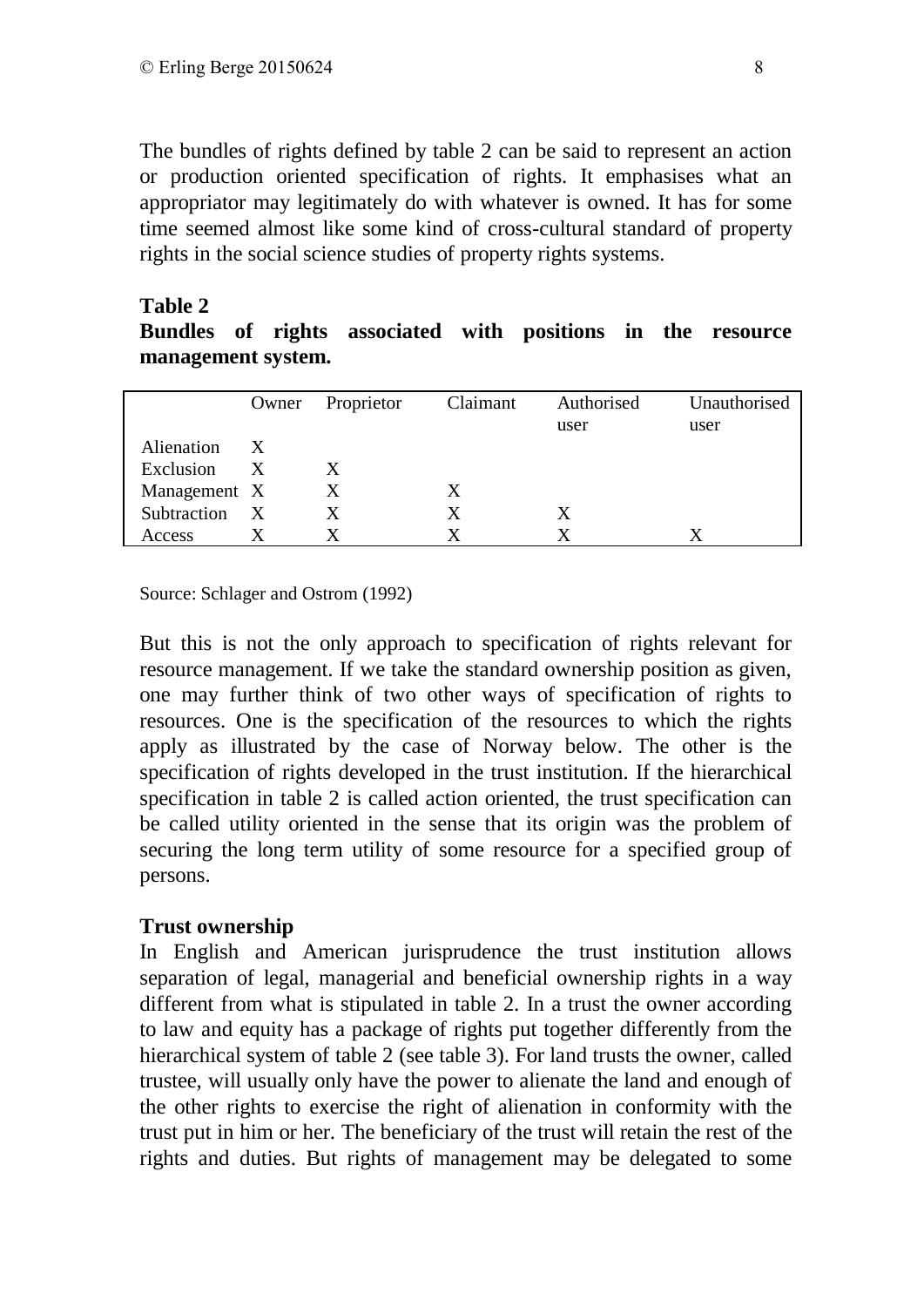The bundles of rights defined by table 2 can be said to represent an action or production oriented specification of rights. It emphasises what an appropriator may legitimately do with whatever is owned. It has for some time seemed almost like some kind of cross-cultural standard of property rights in the social science studies of property rights systems.

#### **Table 2**

**Bundles of rights associated with positions in the resource management system.**

|               |              | Owner Proprietor | Claimant | Authorised | Unauthorised |
|---------------|--------------|------------------|----------|------------|--------------|
|               |              |                  |          | user       | user         |
| Alienation X  |              |                  |          |            |              |
| Exclusion     | $\mathbf{X}$ | X.               |          |            |              |
| Management X  |              | X                | Χ        |            |              |
| Subtraction X |              | X                | X        | X          |              |
| Access        |              |                  |          |            |              |

Source: Schlager and Ostrom (1992)

But this is not the only approach to specification of rights relevant for resource management. If we take the standard ownership position as given, one may further think of two other ways of specification of rights to resources. One is the specification of the resources to which the rights apply as illustrated by the case of Norway below. The other is the specification of rights developed in the trust institution. If the hierarchical specification in table 2 is called action oriented, the trust specification can be called utility oriented in the sense that its origin was the problem of securing the long term utility of some resource for a specified group of persons.

#### **Trust ownership**

In English and American jurisprudence the trust institution allows separation of legal, managerial and beneficial ownership rights in a way different from what is stipulated in table 2. In a trust the owner according to law and equity has a package of rights put together differently from the hierarchical system of table 2 (see table 3). For land trusts the owner, called trustee, will usually only have the power to alienate the land and enough of the other rights to exercise the right of alienation in conformity with the trust put in him or her. The beneficiary of the trust will retain the rest of the rights and duties. But rights of management may be delegated to some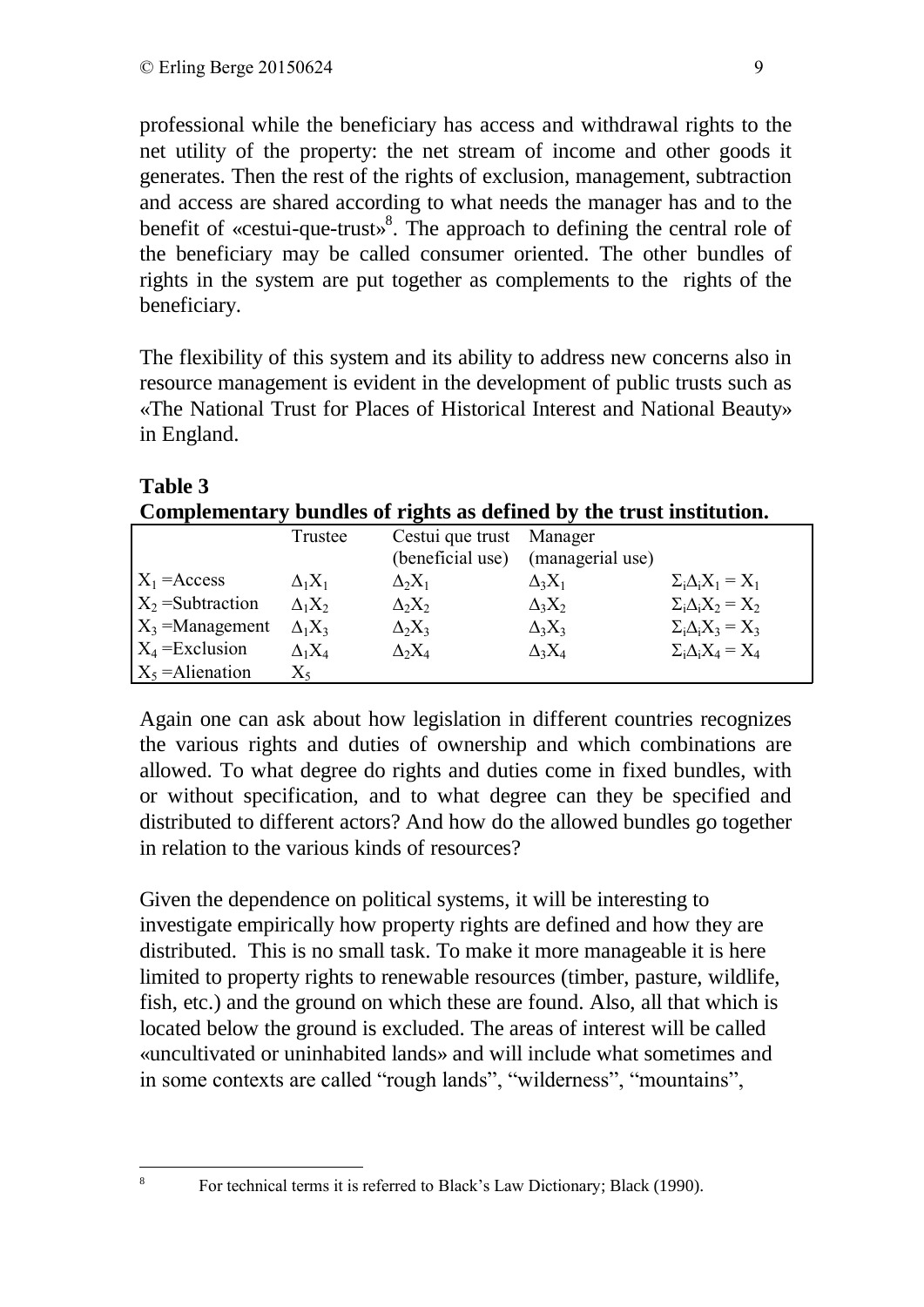professional while the beneficiary has access and withdrawal rights to the net utility of the property: the net stream of income and other goods it generates. Then the rest of the rights of exclusion, management, subtraction and access are shared according to what needs the manager has and to the benefit of «cestui-que-trust»<sup>8</sup>. The approach to defining the central role of the beneficiary may be called consumer oriented. The other bundles of rights in the system are put together as complements to the rights of the beneficiary.

The flexibility of this system and its ability to address new concerns also in resource management is evident in the development of public trusts such as «The National Trust for Places of Historical Interest and National Beauty» in England.

| Complementary bundles of rights as defined by the trust institution. |                |                          |                  |                               |  |
|----------------------------------------------------------------------|----------------|--------------------------|------------------|-------------------------------|--|
|                                                                      | Trustee        | Cestui que trust Manager |                  |                               |  |
|                                                                      |                | (beneficial use)         | (managerial use) |                               |  |
| $X_1$ = Access                                                       | $\Delta_1 X_1$ | $\Delta_2 X_1$           | $\Delta_3 X_1$   | $\Sigma_i \Delta_i X_1 = X_1$ |  |
| $X_2$ =Subtraction                                                   | $\Delta_1 X_2$ | $\Delta_2 X_2$           | $\Delta_3 X_2$   | $\Sigma_i \Delta_i X_2 = X_2$ |  |
| $X_3$ =Management                                                    | $\Delta_1 X_3$ | $\Delta_2 X_3$           | $\Delta_3 X_3$   | $\Sigma_i \Delta_i X_3 = X_3$ |  |
| $X_4$ = Exclusion                                                    | $\Delta_1 X_4$ | $\Delta_2 X_4$           | $\Delta_3 X_4$   | $\Sigma_i \Delta_i X_4 = X_4$ |  |
| $X_5$ = Alienation                                                   | $X_5$          |                          |                  |                               |  |

# **Table 3**

Again one can ask about how legislation in different countries recognizes the various rights and duties of ownership and which combinations are allowed. To what degree do rights and duties come in fixed bundles, with or without specification, and to what degree can they be specified and distributed to different actors? And how do the allowed bundles go together in relation to the various kinds of resources?

Given the dependence on political systems, it will be interesting to investigate empirically how property rights are defined and how they are distributed. This is no small task. To make it more manageable it is here limited to property rights to renewable resources (timber, pasture, wildlife, fish, etc.) and the ground on which these are found. Also, all that which is located below the ground is excluded. The areas of interest will be called «uncultivated or uninhabited lands» and will include what sometimes and in some contexts are called "rough lands", "wilderness", "mountains",

<u>.</u> 8

For technical terms it is referred to Black's Law Dictionary; Black (1990).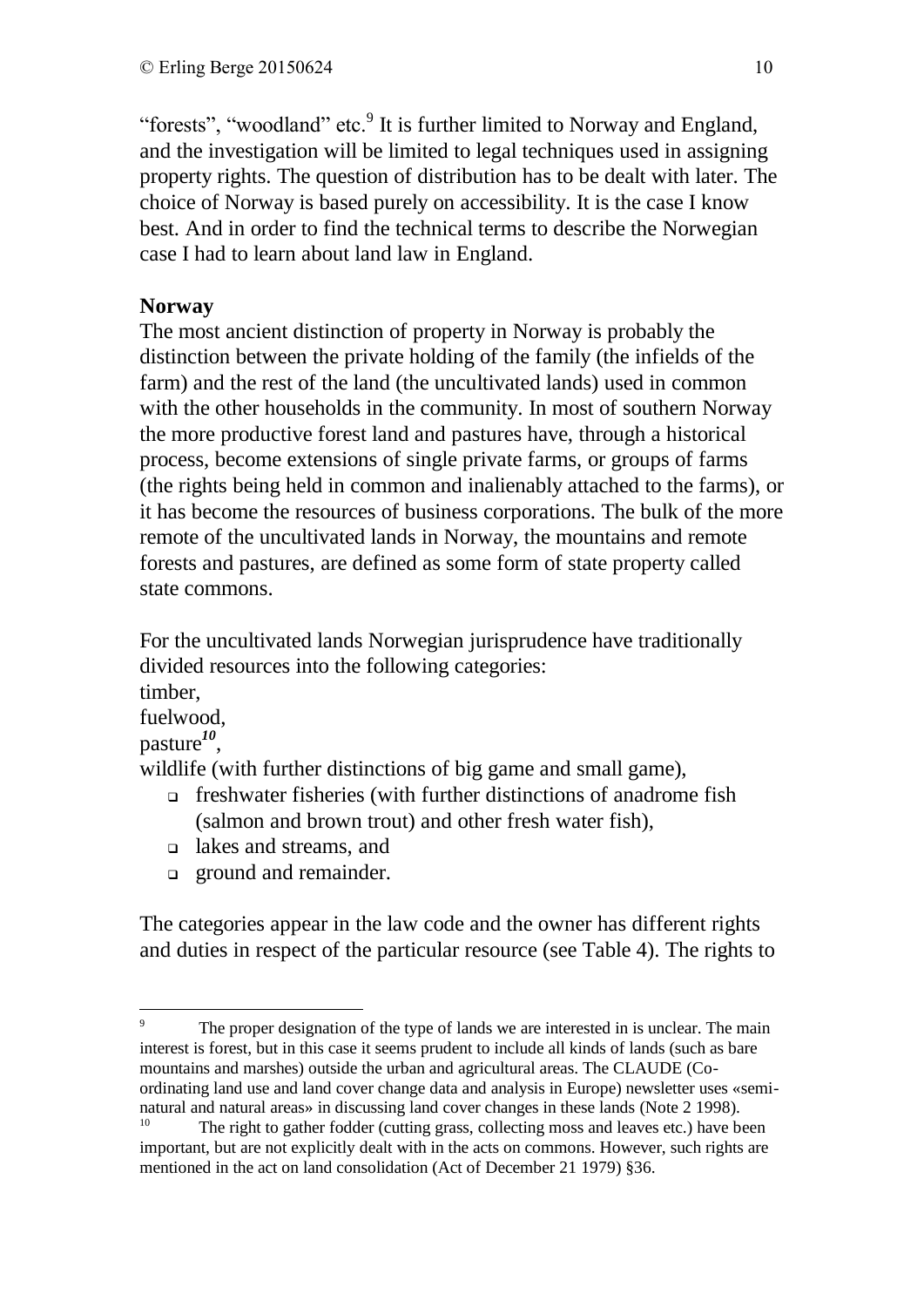"forests", "woodland" etc.<sup>9</sup> It is further limited to Norway and England, and the investigation will be limited to legal techniques used in assigning property rights. The question of distribution has to be dealt with later. The choice of Norway is based purely on accessibility. It is the case I know best. And in order to find the technical terms to describe the Norwegian case I had to learn about land law in England.

# **Norway**

The most ancient distinction of property in Norway is probably the distinction between the private holding of the family (the infields of the farm) and the rest of the land (the uncultivated lands) used in common with the other households in the community. In most of southern Norway the more productive forest land and pastures have, through a historical process, become extensions of single private farms, or groups of farms (the rights being held in common and inalienably attached to the farms), or it has become the resources of business corporations. The bulk of the more remote of the uncultivated lands in Norway, the mountains and remote forests and pastures, are defined as some form of state property called state commons.

For the uncultivated lands Norwegian jurisprudence have traditionally divided resources into the following categories:

timber,

fuelwood,

pasture*<sup>10</sup>* ,

wildlife (with further distinctions of big game and small game),

- freshwater fisheries (with further distinctions of anadrome fish (salmon and brown trout) and other fresh water fish),
- lakes and streams, and
- **ground and remainder.**

The categories appear in the law code and the owner has different rights and duties in respect of the particular resource (see Table 4). The rights to

<sup>1</sup> <sup>9</sup> The proper designation of the type of lands we are interested in is unclear. The main interest is forest, but in this case it seems prudent to include all kinds of lands (such as bare mountains and marshes) outside the urban and agricultural areas. The CLAUDE (Coordinating land use and land cover change data and analysis in Europe) newsletter uses «seminatural and natural areas» in discussing land cover changes in these lands (Note 2 1998).

<sup>&</sup>lt;sup>10</sup> The right to gather fodder (cutting grass, collecting moss and leaves etc.) have been important, but are not explicitly dealt with in the acts on commons. However, such rights are mentioned in the act on land consolidation (Act of December 21 1979) §36.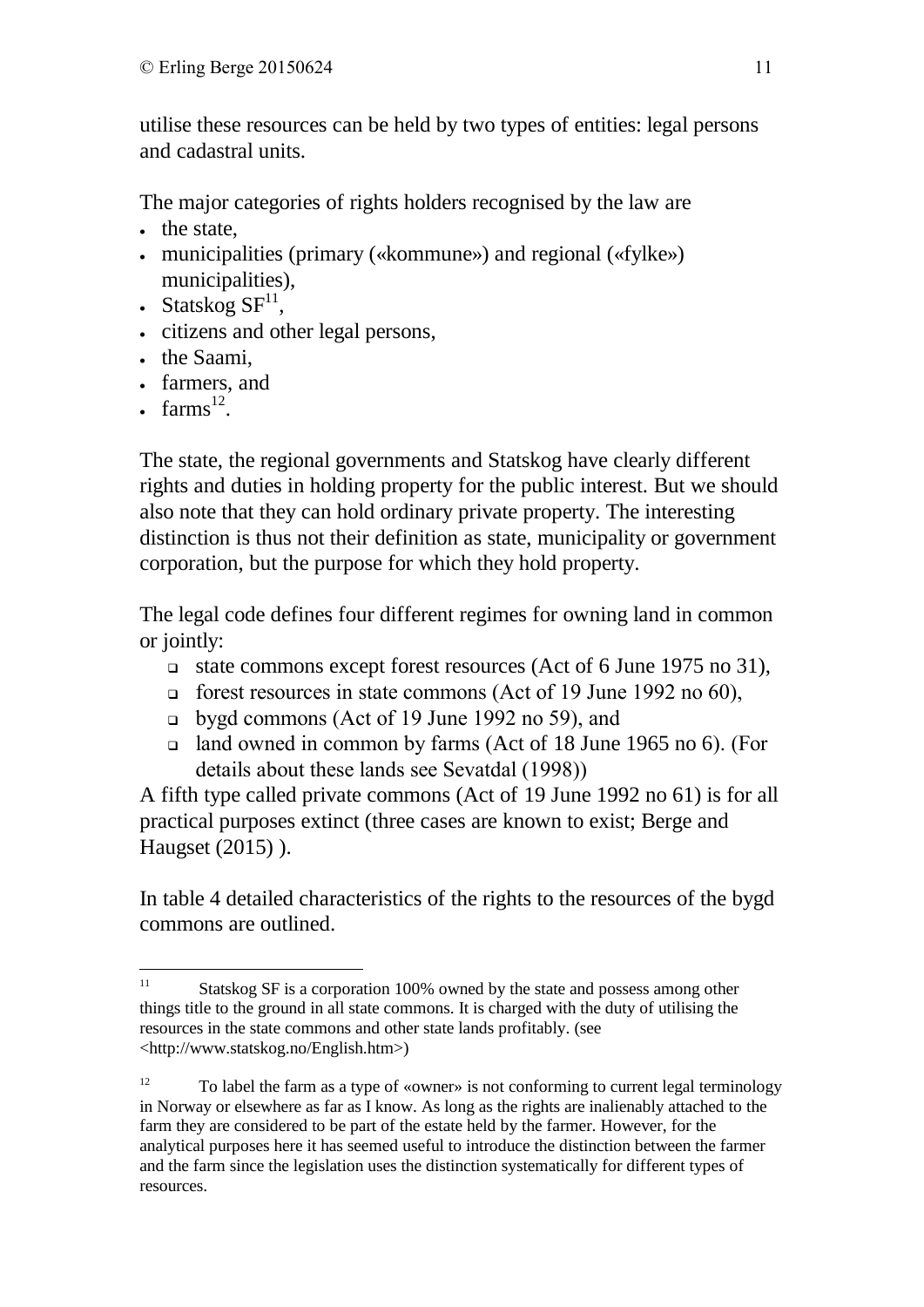utilise these resources can be held by two types of entities: legal persons and cadastral units.

The major categories of rights holders recognised by the law are

- the state,
- municipalities (primary («kommune») and regional («fylke») municipalities),
- Statskog  $SF<sup>11</sup>$ ,
- citizens and other legal persons,
- the Saami,
- farmers, and
- farms $^{12}$ .

The state, the regional governments and Statskog have clearly different rights and duties in holding property for the public interest. But we should also note that they can hold ordinary private property. The interesting distinction is thus not their definition as state, municipality or government corporation, but the purpose for which they hold property.

The legal code defines four different regimes for owning land in common or jointly:

- state commons except forest resources (Act of 6 June 1975 no 31),
- forest resources in state commons (Act of 19 June 1992 no 60),
- bygd commons (Act of 19 June 1992 no 59), and
- land owned in common by farms (Act of 18 June 1965 no 6). (For details about these lands see Sevatdal (1998))

A fifth type called private commons (Act of 19 June 1992 no 61) is for all practical purposes extinct (three cases are known to exist; Berge and Haugset (2015) ).

In table 4 detailed characteristics of the rights to the resources of the bygd commons are outlined.

 $11$ Statskog SF is a corporation 100% owned by the state and possess among other things title to the ground in all state commons. It is charged with the duty of utilising the resources in the state commons and other state lands profitably. (see <http://www.statskog.no/English.htm>)

<sup>12</sup> To label the farm as a type of «owner» is not conforming to current legal terminology in Norway or elsewhere as far as I know. As long as the rights are inalienably attached to the farm they are considered to be part of the estate held by the farmer. However, for the analytical purposes here it has seemed useful to introduce the distinction between the farmer and the farm since the legislation uses the distinction systematically for different types of resources.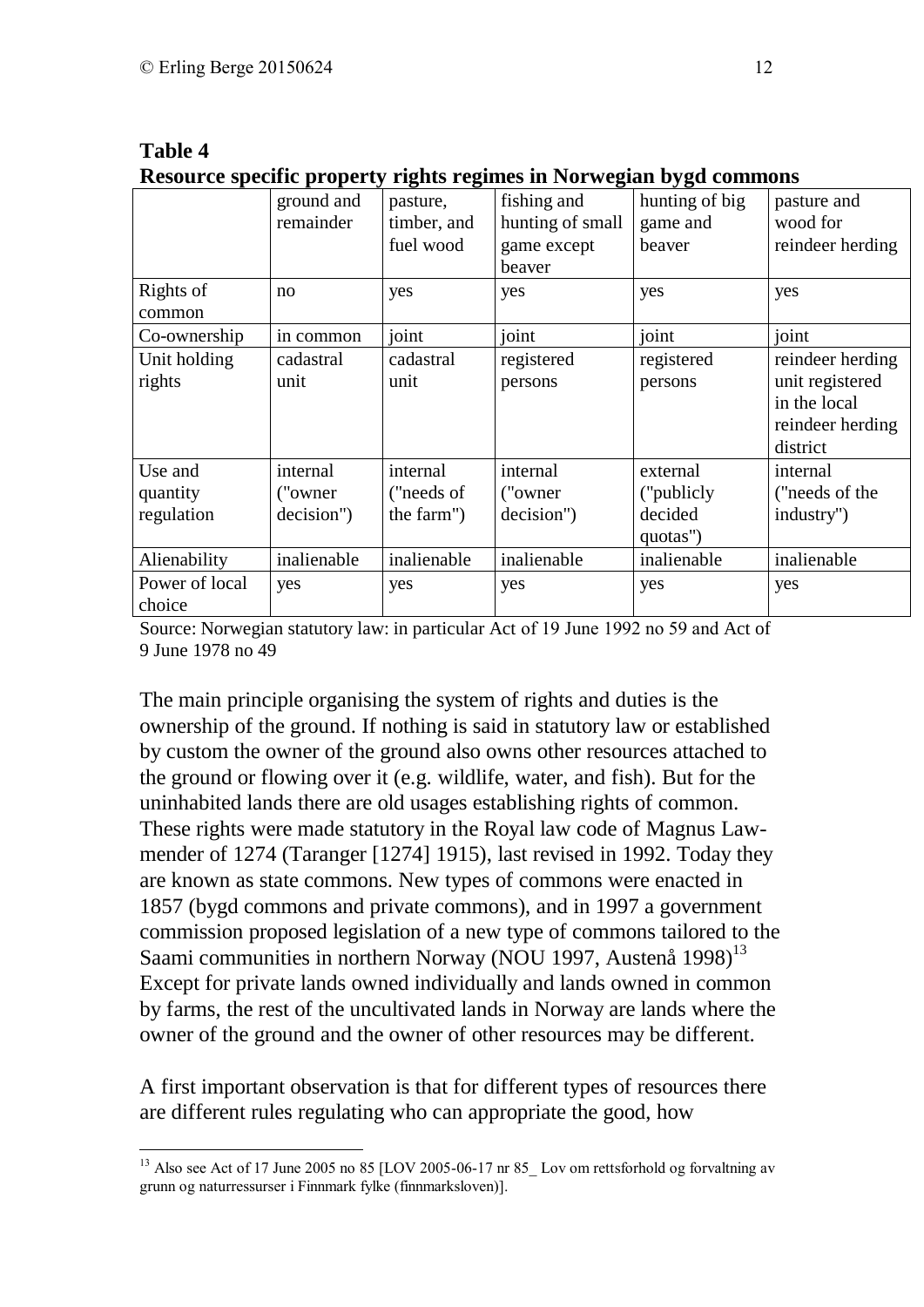|                |             |             | Resource specific property rights regnifies in foot wegian bygu commons |                |                  |
|----------------|-------------|-------------|-------------------------------------------------------------------------|----------------|------------------|
|                | ground and  | pasture,    | fishing and                                                             | hunting of big | pasture and      |
|                | remainder   | timber, and | hunting of small                                                        | game and       | wood for         |
|                |             | fuel wood   | game except                                                             | beaver         | reindeer herding |
|                |             |             | beaver                                                                  |                |                  |
| Rights of      | no          | yes         | yes                                                                     | yes            | yes              |
| common         |             |             |                                                                         |                |                  |
| Co-ownership   | in common   | joint       | joint                                                                   | joint          | joint            |
| Unit holding   | cadastral   | cadastral   | registered                                                              | registered     | reindeer herding |
| rights         | unit        | unit        | persons                                                                 | persons        | unit registered  |
|                |             |             |                                                                         |                | in the local     |
|                |             |             |                                                                         |                | reindeer herding |
|                |             |             |                                                                         |                | district         |
| Use and        | internal    | internal    | internal                                                                | external       | internal         |
| quantity       | ("owner")   | ("needs of  | ("owner")                                                               | ("publicly")   | ("needs of the   |
| regulation     | decision")  | the farm")  | decision")                                                              | decided        | industry")       |
|                |             |             |                                                                         | quotas")       |                  |
| Alienability   | inalienable | inalienable | inalienable                                                             | inalienable    | inalienable      |
| Power of local | yes         | yes         | yes                                                                     | yes            | yes              |
| choice         |             |             |                                                                         |                |                  |

#### **Table 4 Resource specific property rights regimes in Norwegian bygd commons**

Source: Norwegian statutory law: in particular Act of 19 June 1992 no 59 and Act of 9 June 1978 no 49

The main principle organising the system of rights and duties is the ownership of the ground. If nothing is said in statutory law or established by custom the owner of the ground also owns other resources attached to the ground or flowing over it (e.g. wildlife, water, and fish). But for the uninhabited lands there are old usages establishing rights of common. These rights were made statutory in the Royal law code of Magnus Lawmender of 1274 (Taranger [1274] 1915), last revised in 1992. Today they are known as state commons. New types of commons were enacted in 1857 (bygd commons and private commons), and in 1997 a government commission proposed legislation of a new type of commons tailored to the Saami communities in northern Norway (NOU 1997, Austenå 1998)<sup>13</sup> Except for private lands owned individually and lands owned in common by farms, the rest of the uncultivated lands in Norway are lands where the owner of the ground and the owner of other resources may be different.

A first important observation is that for different types of resources there are different rules regulating who can appropriate the good, how

<sup>&</sup>lt;u>.</u> <sup>13</sup> Also see Act of 17 June 2005 no 85 [LOV 2005-06-17 nr 85 Lov om rettsforhold og forvaltning av grunn og naturressurser i Finnmark fylke (finnmarksloven)].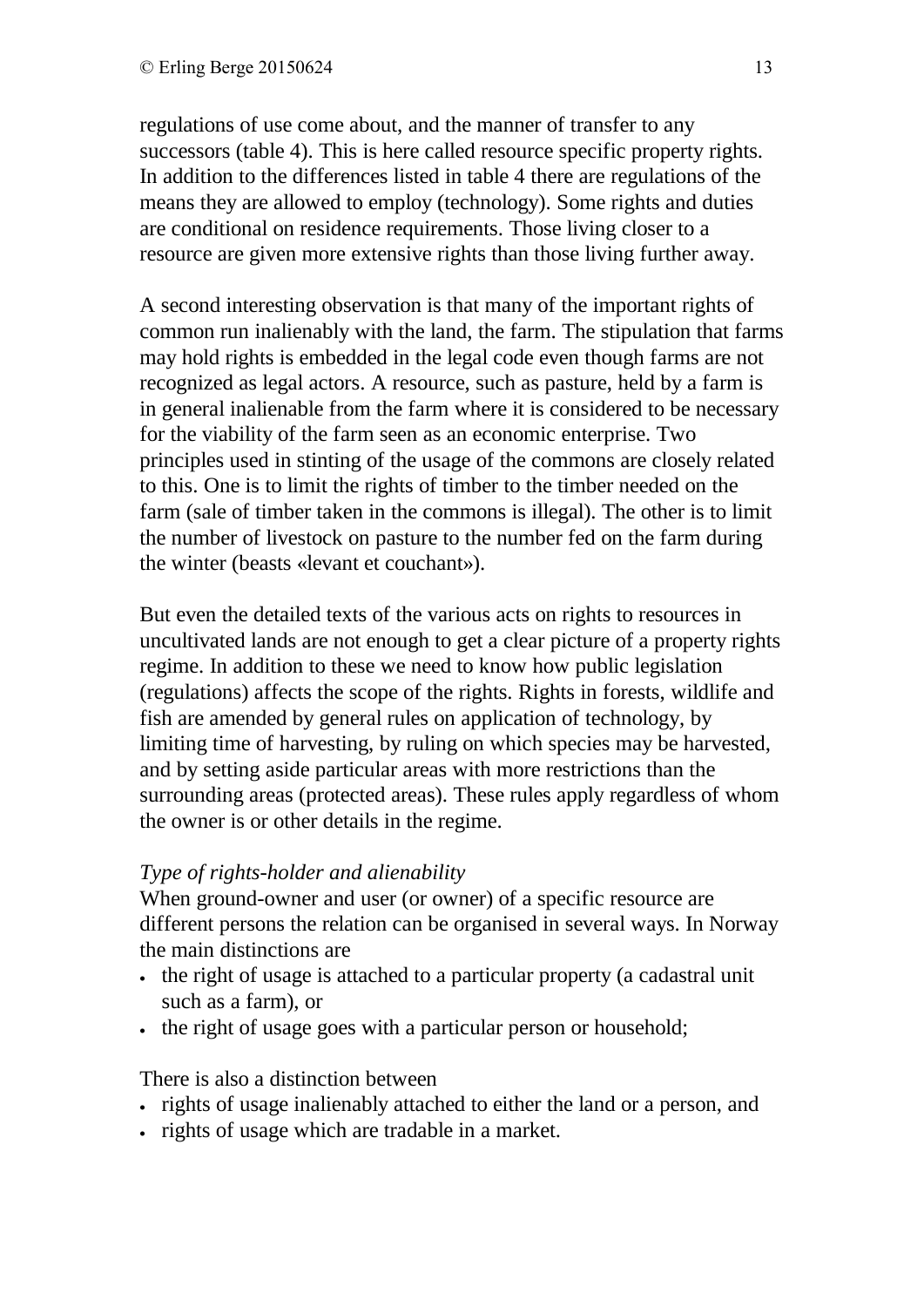regulations of use come about, and the manner of transfer to any successors (table 4). This is here called resource specific property rights. In addition to the differences listed in table 4 there are regulations of the means they are allowed to employ (technology). Some rights and duties are conditional on residence requirements. Those living closer to a resource are given more extensive rights than those living further away.

A second interesting observation is that many of the important rights of common run inalienably with the land, the farm. The stipulation that farms may hold rights is embedded in the legal code even though farms are not recognized as legal actors. A resource, such as pasture, held by a farm is in general inalienable from the farm where it is considered to be necessary for the viability of the farm seen as an economic enterprise. Two principles used in stinting of the usage of the commons are closely related to this. One is to limit the rights of timber to the timber needed on the farm (sale of timber taken in the commons is illegal). The other is to limit the number of livestock on pasture to the number fed on the farm during the winter (beasts «levant et couchant»).

But even the detailed texts of the various acts on rights to resources in uncultivated lands are not enough to get a clear picture of a property rights regime. In addition to these we need to know how public legislation (regulations) affects the scope of the rights. Rights in forests, wildlife and fish are amended by general rules on application of technology, by limiting time of harvesting, by ruling on which species may be harvested, and by setting aside particular areas with more restrictions than the surrounding areas (protected areas). These rules apply regardless of whom the owner is or other details in the regime.

# *Type of rights-holder and alienability*

When ground-owner and user (or owner) of a specific resource are different persons the relation can be organised in several ways. In Norway the main distinctions are

- the right of usage is attached to a particular property (a cadastral unit such as a farm), or
- the right of usage goes with a particular person or household;

There is also a distinction between

- rights of usage inalienably attached to either the land or a person, and
- rights of usage which are tradable in a market.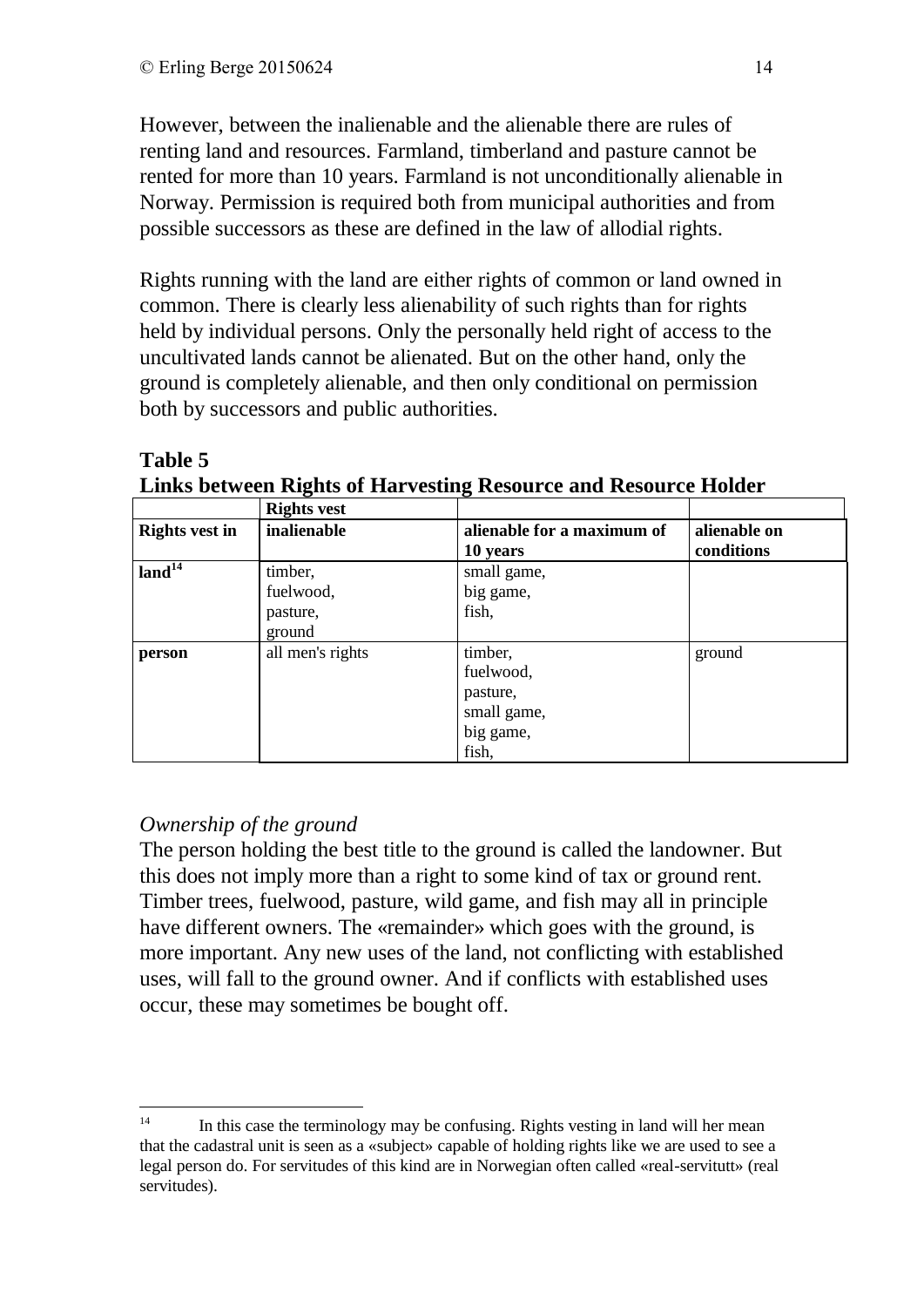However, between the inalienable and the alienable there are rules of renting land and resources. Farmland, timberland and pasture cannot be rented for more than 10 years. Farmland is not unconditionally alienable in Norway. Permission is required both from municipal authorities and from possible successors as these are defined in the law of allodial rights.

Rights running with the land are either rights of common or land owned in common. There is clearly less alienability of such rights than for rights held by individual persons. Only the personally held right of access to the uncultivated lands cannot be alienated. But on the other hand, only the ground is completely alienable, and then only conditional on permission both by successors and public authorities.

# **Table 5**

**Links between Rights of Harvesting Resource and Resource Holder**

|                       | <b>Rights vest</b>                         |                                                                       |                            |
|-----------------------|--------------------------------------------|-----------------------------------------------------------------------|----------------------------|
| <b>Rights vest in</b> | inalienable                                | alienable for a maximum of<br>10 years                                | alienable on<br>conditions |
| land <sup>14</sup>    | timber,<br>fuelwood,<br>pasture,<br>ground | small game,<br>big game,<br>fish,                                     |                            |
| person                | all men's rights                           | timber,<br>fuelwood,<br>pasture,<br>small game,<br>big game,<br>fish, | ground                     |

# *Ownership of the ground*

The person holding the best title to the ground is called the landowner. But this does not imply more than a right to some kind of tax or ground rent. Timber trees, fuelwood, pasture, wild game, and fish may all in principle have different owners. The «remainder» which goes with the ground, is more important. Any new uses of the land, not conflicting with established uses, will fall to the ground owner. And if conflicts with established uses occur, these may sometimes be bought off.

 $14$ In this case the terminology may be confusing. Rights vesting in land will her mean that the cadastral unit is seen as a «subject» capable of holding rights like we are used to see a legal person do. For servitudes of this kind are in Norwegian often called «real-servitutt» (real servitudes).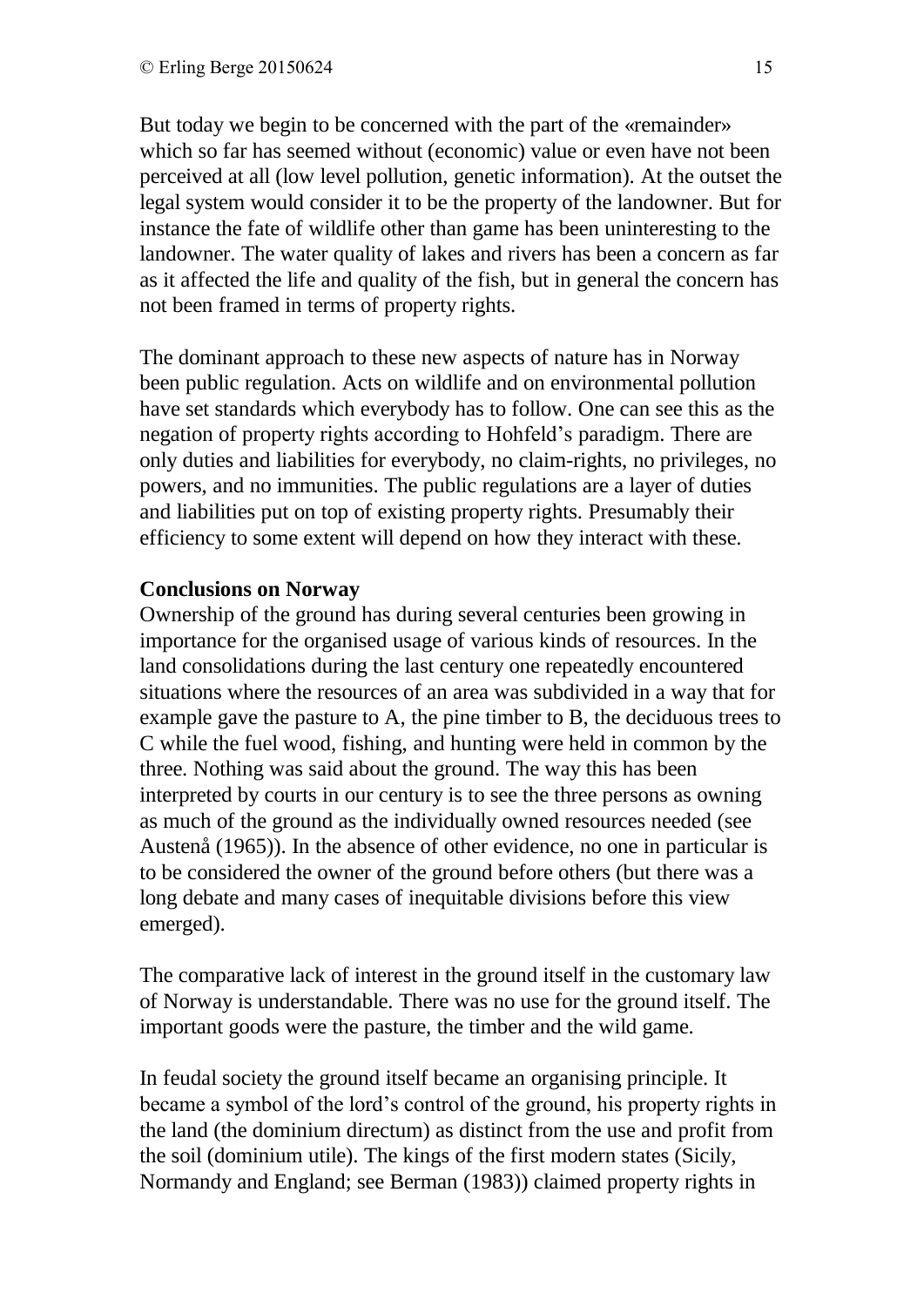But today we begin to be concerned with the part of the «remainder» which so far has seemed without (economic) value or even have not been perceived at all (low level pollution, genetic information). At the outset the legal system would consider it to be the property of the landowner. But for instance the fate of wildlife other than game has been uninteresting to the landowner. The water quality of lakes and rivers has been a concern as far as it affected the life and quality of the fish, but in general the concern has not been framed in terms of property rights.

The dominant approach to these new aspects of nature has in Norway been public regulation. Acts on wildlife and on environmental pollution have set standards which everybody has to follow. One can see this as the negation of property rights according to Hohfeld's paradigm. There are only duties and liabilities for everybody, no claim-rights, no privileges, no powers, and no immunities. The public regulations are a layer of duties and liabilities put on top of existing property rights. Presumably their efficiency to some extent will depend on how they interact with these.

#### **Conclusions on Norway**

Ownership of the ground has during several centuries been growing in importance for the organised usage of various kinds of resources. In the land consolidations during the last century one repeatedly encountered situations where the resources of an area was subdivided in a way that for example gave the pasture to A, the pine timber to B, the deciduous trees to C while the fuel wood, fishing, and hunting were held in common by the three. Nothing was said about the ground. The way this has been interpreted by courts in our century is to see the three persons as owning as much of the ground as the individually owned resources needed (see Austenå (1965)). In the absence of other evidence, no one in particular is to be considered the owner of the ground before others (but there was a long debate and many cases of inequitable divisions before this view emerged).

The comparative lack of interest in the ground itself in the customary law of Norway is understandable. There was no use for the ground itself. The important goods were the pasture, the timber and the wild game.

In feudal society the ground itself became an organising principle. It became a symbol of the lord's control of the ground, his property rights in the land (the dominium directum) as distinct from the use and profit from the soil (dominium utile). The kings of the first modern states (Sicily, Normandy and England; see Berman (1983)) claimed property rights in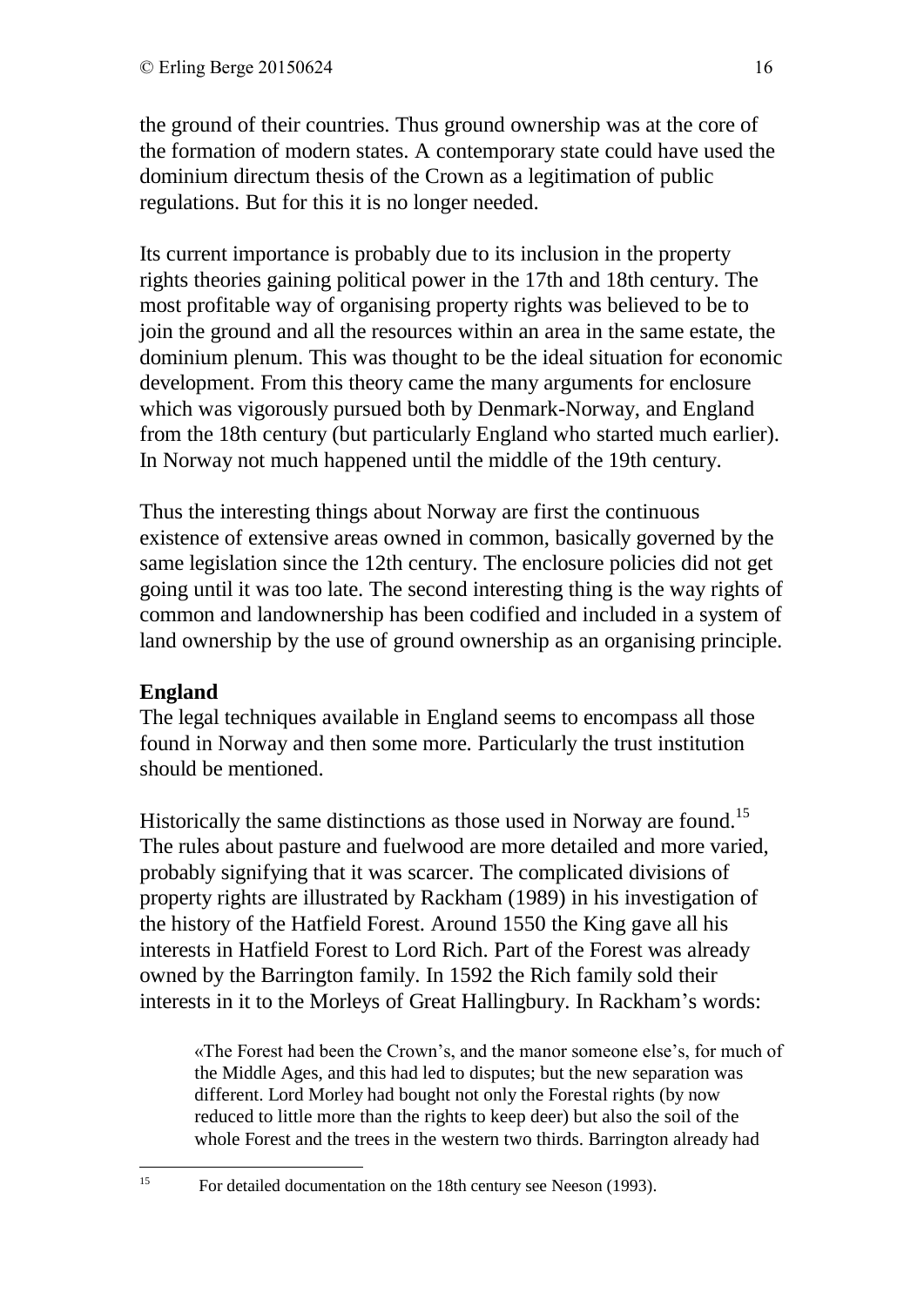the ground of their countries. Thus ground ownership was at the core of the formation of modern states. A contemporary state could have used the dominium directum thesis of the Crown as a legitimation of public regulations. But for this it is no longer needed.

Its current importance is probably due to its inclusion in the property rights theories gaining political power in the 17th and 18th century. The most profitable way of organising property rights was believed to be to join the ground and all the resources within an area in the same estate, the dominium plenum. This was thought to be the ideal situation for economic development. From this theory came the many arguments for enclosure which was vigorously pursued both by Denmark-Norway, and England from the 18th century (but particularly England who started much earlier). In Norway not much happened until the middle of the 19th century.

Thus the interesting things about Norway are first the continuous existence of extensive areas owned in common, basically governed by the same legislation since the 12th century. The enclosure policies did not get going until it was too late. The second interesting thing is the way rights of common and landownership has been codified and included in a system of land ownership by the use of ground ownership as an organising principle.

# **England**

The legal techniques available in England seems to encompass all those found in Norway and then some more. Particularly the trust institution should be mentioned.

Historically the same distinctions as those used in Norway are found.<sup>15</sup> The rules about pasture and fuelwood are more detailed and more varied, probably signifying that it was scarcer. The complicated divisions of property rights are illustrated by Rackham (1989) in his investigation of the history of the Hatfield Forest. Around 1550 the King gave all his interests in Hatfield Forest to Lord Rich. Part of the Forest was already owned by the Barrington family. In 1592 the Rich family sold their interests in it to the Morleys of Great Hallingbury. In Rackham's words:

«The Forest had been the Crown's, and the manor someone else's, for much of the Middle Ages, and this had led to disputes; but the new separation was different. Lord Morley had bought not only the Forestal rights (by now reduced to little more than the rights to keep deer) but also the soil of the whole Forest and the trees in the western two thirds. Barrington already had

15

<sup>15</sup> For detailed documentation on the 18th century see Neeson (1993).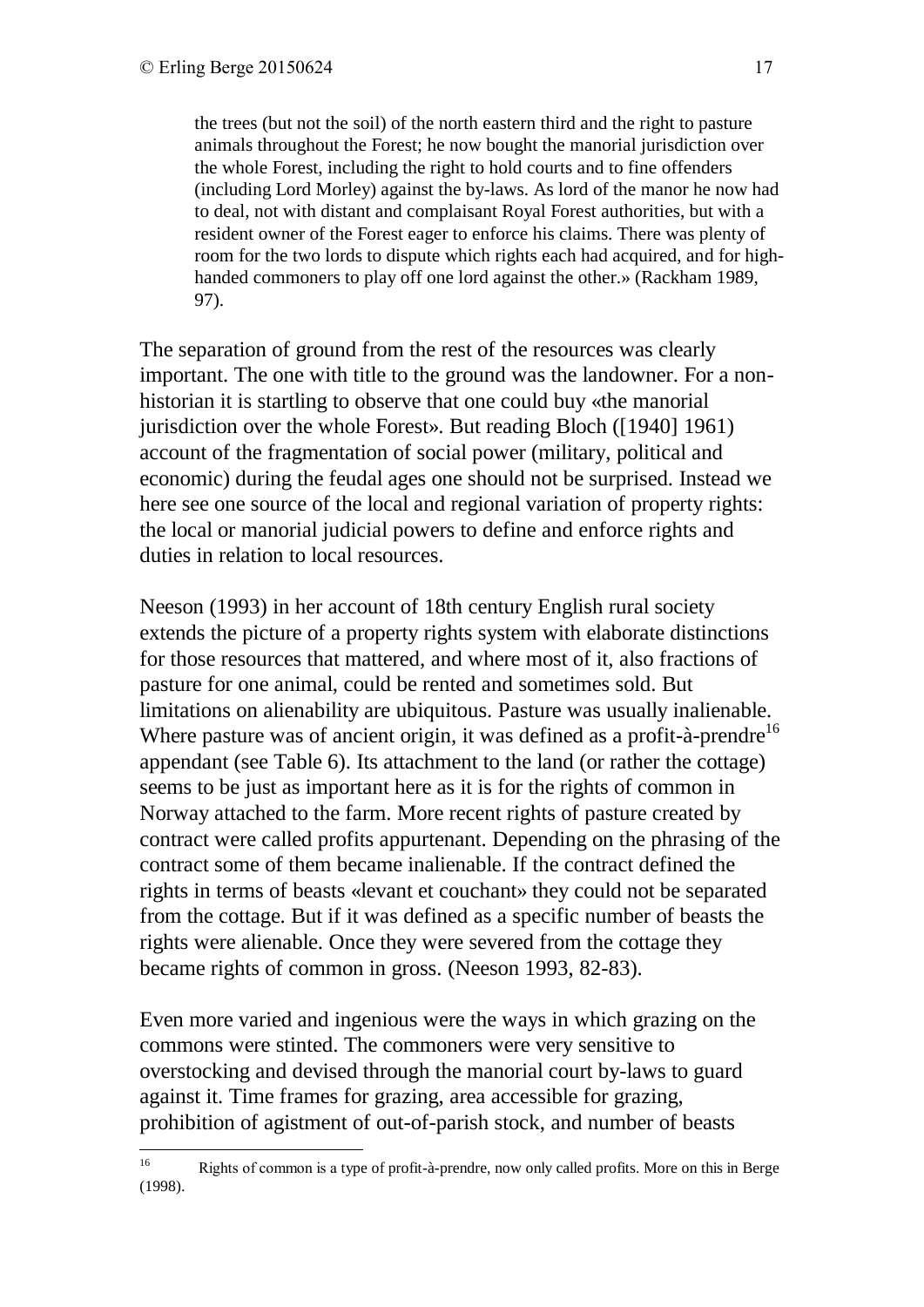the trees (but not the soil) of the north eastern third and the right to pasture animals throughout the Forest; he now bought the manorial jurisdiction over the whole Forest, including the right to hold courts and to fine offenders (including Lord Morley) against the by-laws. As lord of the manor he now had to deal, not with distant and complaisant Royal Forest authorities, but with a resident owner of the Forest eager to enforce his claims. There was plenty of room for the two lords to dispute which rights each had acquired, and for highhanded commoners to play off one lord against the other.» (Rackham 1989, 97).

The separation of ground from the rest of the resources was clearly important. The one with title to the ground was the landowner. For a nonhistorian it is startling to observe that one could buy «the manorial jurisdiction over the whole Forest». But reading Bloch ([1940] 1961) account of the fragmentation of social power (military, political and economic) during the feudal ages one should not be surprised. Instead we here see one source of the local and regional variation of property rights: the local or manorial judicial powers to define and enforce rights and duties in relation to local resources.

Neeson (1993) in her account of 18th century English rural society extends the picture of a property rights system with elaborate distinctions for those resources that mattered, and where most of it, also fractions of pasture for one animal, could be rented and sometimes sold. But limitations on alienability are ubiquitous. Pasture was usually inalienable. Where pasture was of ancient origin, it was defined as a profit- $\hat{a}$ -prendre<sup>16</sup> appendant (see Table 6). Its attachment to the land (or rather the cottage) seems to be just as important here as it is for the rights of common in Norway attached to the farm. More recent rights of pasture created by contract were called profits appurtenant. Depending on the phrasing of the contract some of them became inalienable. If the contract defined the rights in terms of beasts «levant et couchant» they could not be separated from the cottage. But if it was defined as a specific number of beasts the rights were alienable. Once they were severed from the cottage they became rights of common in gross. (Neeson 1993, 82-83).

Even more varied and ingenious were the ways in which grazing on the commons were stinted. The commoners were very sensitive to overstocking and devised through the manorial court by-laws to guard against it. Time frames for grazing, area accessible for grazing, prohibition of agistment of out-of-parish stock, and number of beasts

<sup>16</sup> <sup>16</sup> Rights of common is a type of profit-à-prendre, now only called profits. More on this in Berge (1998).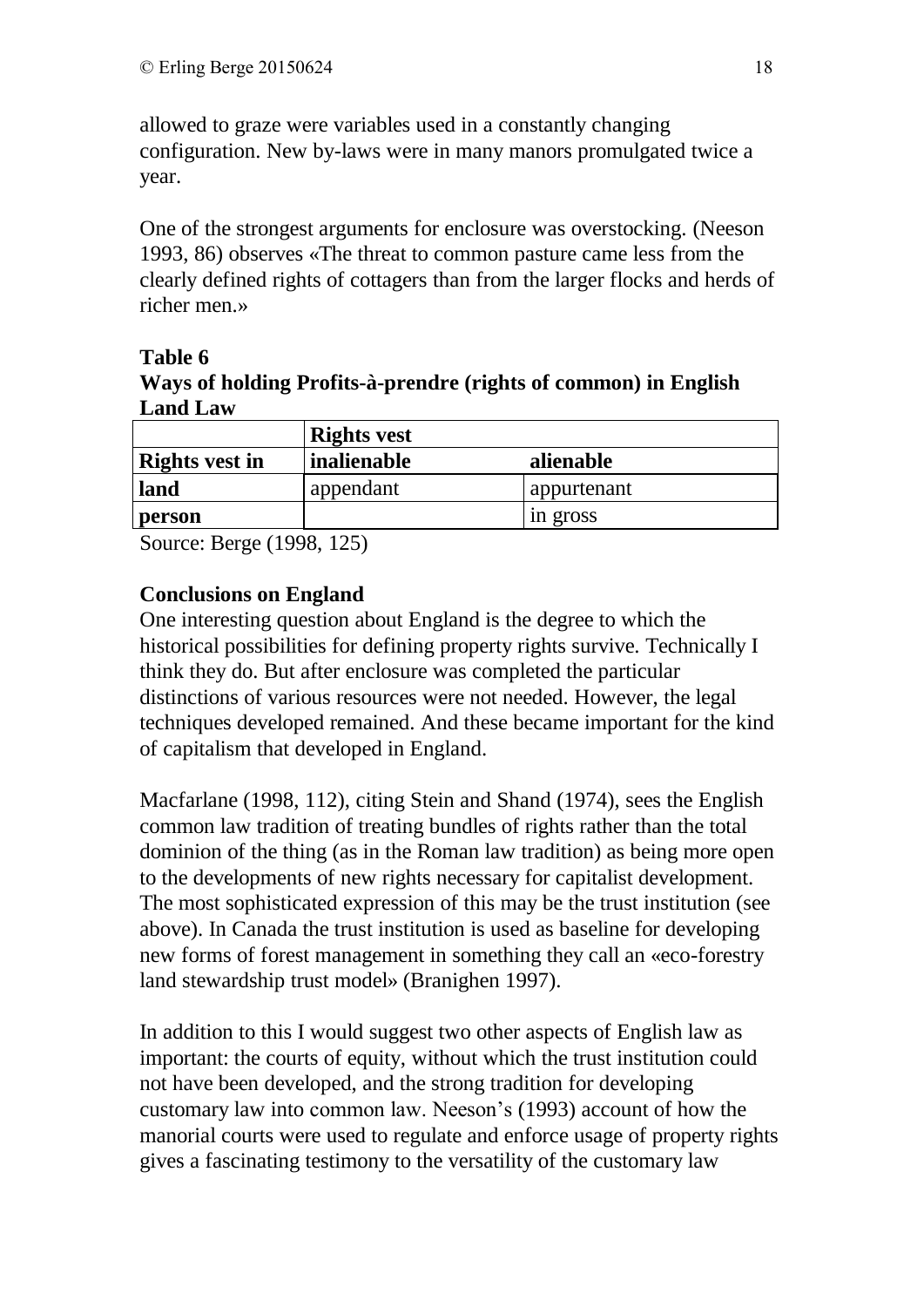allowed to graze were variables used in a constantly changing configuration. New by-laws were in many manors promulgated twice a year.

One of the strongest arguments for enclosure was overstocking. (Neeson 1993, 86) observes «The threat to common pasture came less from the clearly defined rights of cottagers than from the larger flocks and herds of richer men.»

**Table 6** 

**Ways of holding Profits-à-prendre (rights of common) in English Land Law**

|                       | <b>Rights vest</b> |             |  |
|-----------------------|--------------------|-------------|--|
| <b>Rights vest in</b> | <i>inalienable</i> | alienable   |  |
| land                  | appendant          | appurtenant |  |
| person                |                    | in gross    |  |

Source: Berge (1998, 125)

## **Conclusions on England**

One interesting question about England is the degree to which the historical possibilities for defining property rights survive. Technically I think they do. But after enclosure was completed the particular distinctions of various resources were not needed. However, the legal techniques developed remained. And these became important for the kind of capitalism that developed in England.

Macfarlane (1998, 112), citing Stein and Shand (1974), sees the English common law tradition of treating bundles of rights rather than the total dominion of the thing (as in the Roman law tradition) as being more open to the developments of new rights necessary for capitalist development. The most sophisticated expression of this may be the trust institution (see above). In Canada the trust institution is used as baseline for developing new forms of forest management in something they call an «eco-forestry land stewardship trust model» (Branighen 1997).

In addition to this I would suggest two other aspects of English law as important: the courts of equity, without which the trust institution could not have been developed, and the strong tradition for developing customary law into common law. Neeson's (1993) account of how the manorial courts were used to regulate and enforce usage of property rights gives a fascinating testimony to the versatility of the customary law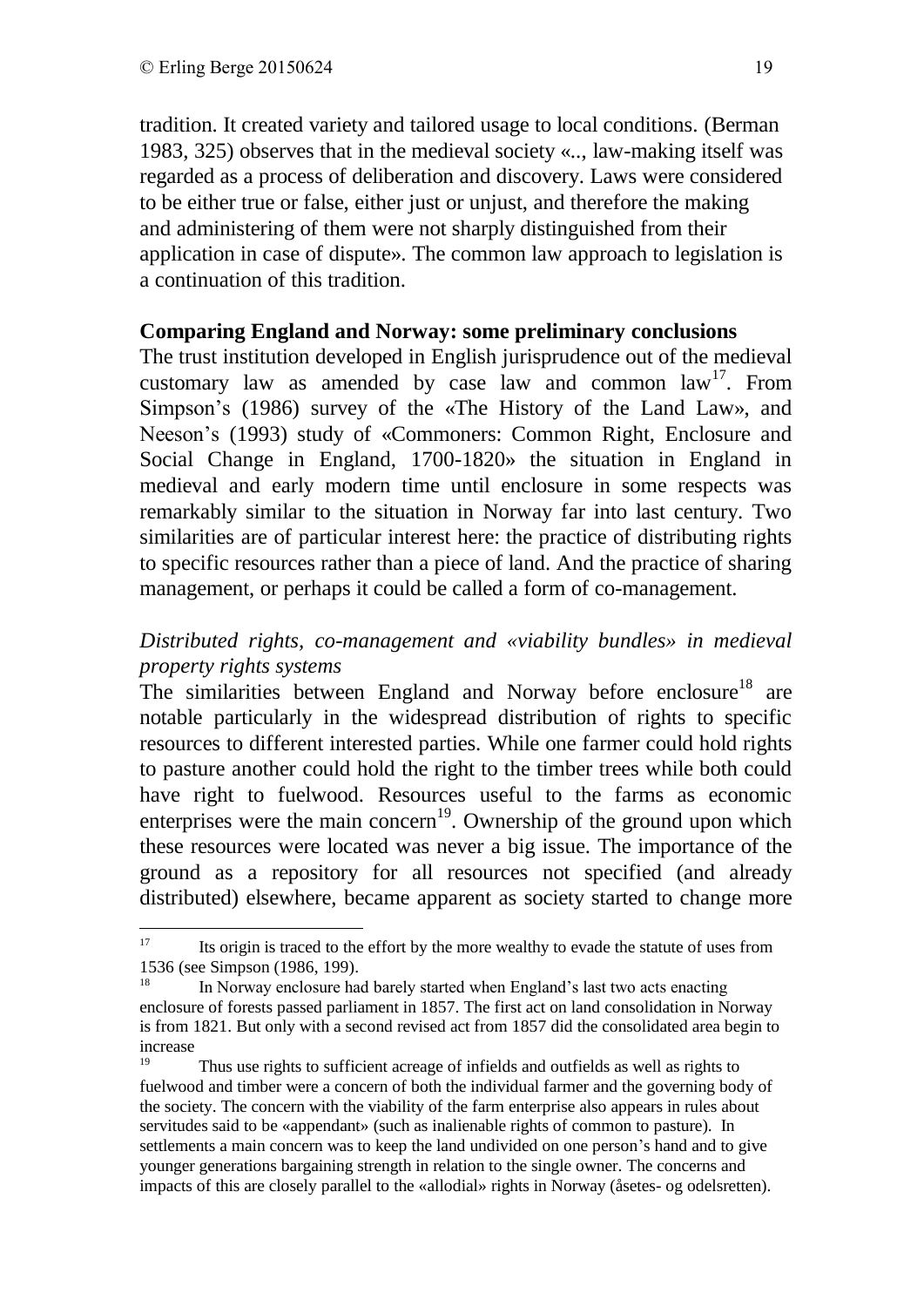<u>.</u>

tradition. It created variety and tailored usage to local conditions. (Berman 1983, 325) observes that in the medieval society «.., law-making itself was regarded as a process of deliberation and discovery. Laws were considered to be either true or false, either just or unjust, and therefore the making and administering of them were not sharply distinguished from their application in case of dispute». The common law approach to legislation is a continuation of this tradition.

#### **Comparing England and Norway: some preliminary conclusions**

The trust institution developed in English jurisprudence out of the medieval customary law as amended by case law and common  $law<sup>17</sup>$ . From Simpson's (1986) survey of the «The History of the Land Law», and Neeson's (1993) study of «Commoners: Common Right, Enclosure and Social Change in England, 1700-1820» the situation in England in medieval and early modern time until enclosure in some respects was remarkably similar to the situation in Norway far into last century. Two similarities are of particular interest here: the practice of distributing rights to specific resources rather than a piece of land. And the practice of sharing management, or perhaps it could be called a form of co-management.

### *Distributed rights, co-management and «viability bundles» in medieval property rights systems*

The similarities between England and Norway before enclosure<sup>18</sup> are notable particularly in the widespread distribution of rights to specific resources to different interested parties. While one farmer could hold rights to pasture another could hold the right to the timber trees while both could have right to fuelwood. Resources useful to the farms as economic enterprises were the main concern<sup>19</sup>. Ownership of the ground upon which these resources were located was never a big issue. The importance of the ground as a repository for all resources not specified (and already distributed) elsewhere, became apparent as society started to change more

<sup>&</sup>lt;sup>17</sup> Its origin is traced to the effort by the more wealthy to evade the statute of uses from 1536 (see Simpson (1986, 199).

<sup>&</sup>lt;sup>18</sup> In Norway enclosure had barely started when England's last two acts enacting enclosure of forests passed parliament in 1857. The first act on land consolidation in Norway is from 1821. But only with a second revised act from 1857 did the consolidated area begin to increase

<sup>19</sup> Thus use rights to sufficient acreage of infields and outfields as well as rights to fuelwood and timber were a concern of both the individual farmer and the governing body of the society. The concern with the viability of the farm enterprise also appears in rules about servitudes said to be «appendant» (such as inalienable rights of common to pasture). In settlements a main concern was to keep the land undivided on one person's hand and to give younger generations bargaining strength in relation to the single owner. The concerns and impacts of this are closely parallel to the «allodial» rights in Norway (åsetes- og odelsretten).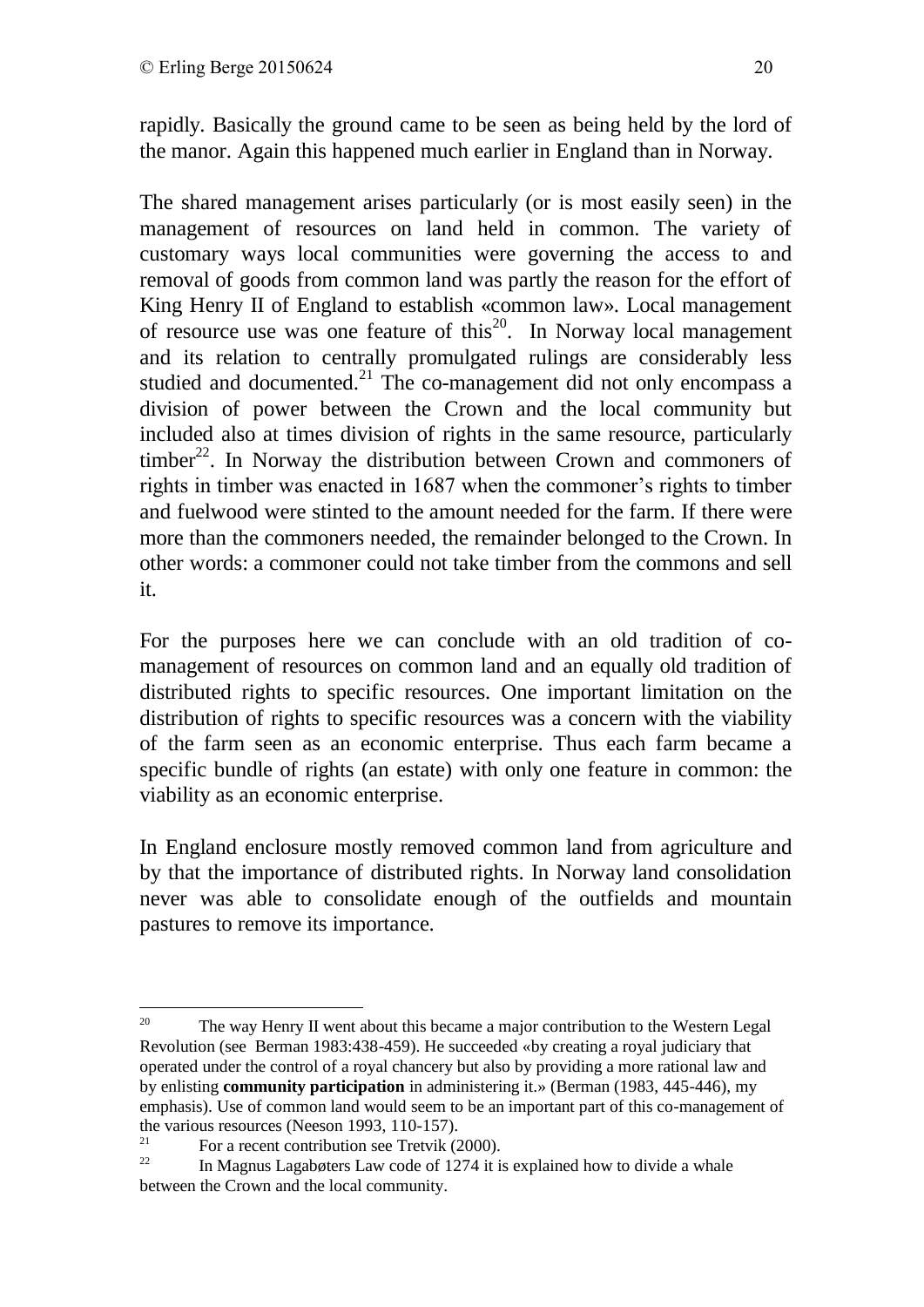rapidly. Basically the ground came to be seen as being held by the lord of the manor. Again this happened much earlier in England than in Norway.

The shared management arises particularly (or is most easily seen) in the management of resources on land held in common. The variety of customary ways local communities were governing the access to and removal of goods from common land was partly the reason for the effort of King Henry II of England to establish «common law». Local management of resource use was one feature of this<sup>20</sup>. In Norway local management and its relation to centrally promulgated rulings are considerably less studied and documented. $^{21}$  The co-management did not only encompass a division of power between the Crown and the local community but included also at times division of rights in the same resource, particularly timber<sup>22</sup>. In Norway the distribution between Crown and commoners of rights in timber was enacted in 1687 when the commoner's rights to timber and fuelwood were stinted to the amount needed for the farm. If there were more than the commoners needed, the remainder belonged to the Crown. In other words: a commoner could not take timber from the commons and sell it.

For the purposes here we can conclude with an old tradition of comanagement of resources on common land and an equally old tradition of distributed rights to specific resources. One important limitation on the distribution of rights to specific resources was a concern with the viability of the farm seen as an economic enterprise. Thus each farm became a specific bundle of rights (an estate) with only one feature in common: the viability as an economic enterprise.

In England enclosure mostly removed common land from agriculture and by that the importance of distributed rights. In Norway land consolidation never was able to consolidate enough of the outfields and mountain pastures to remove its importance.

<u>.</u>

<sup>&</sup>lt;sup>20</sup> The way Henry II went about this became a major contribution to the Western Legal Revolution (see Berman 1983:438-459). He succeeded «by creating a royal judiciary that operated under the control of a royal chancery but also by providing a more rational law and by enlisting **community participation** in administering it.» (Berman (1983, 445-446), my emphasis). Use of common land would seem to be an important part of this co-management of the various resources (Neeson 1993, 110-157).<br> $\frac{21}{100}$  For a recent contribution see Tratrik (

<sup>&</sup>lt;sup>21</sup> For a recent contribution see Tretvik (2000).<br>In Magnus Lagabeters Law code of 1274 it is

In Magnus Lagabøters Law code of 1274 it is explained how to divide a whale between the Crown and the local community.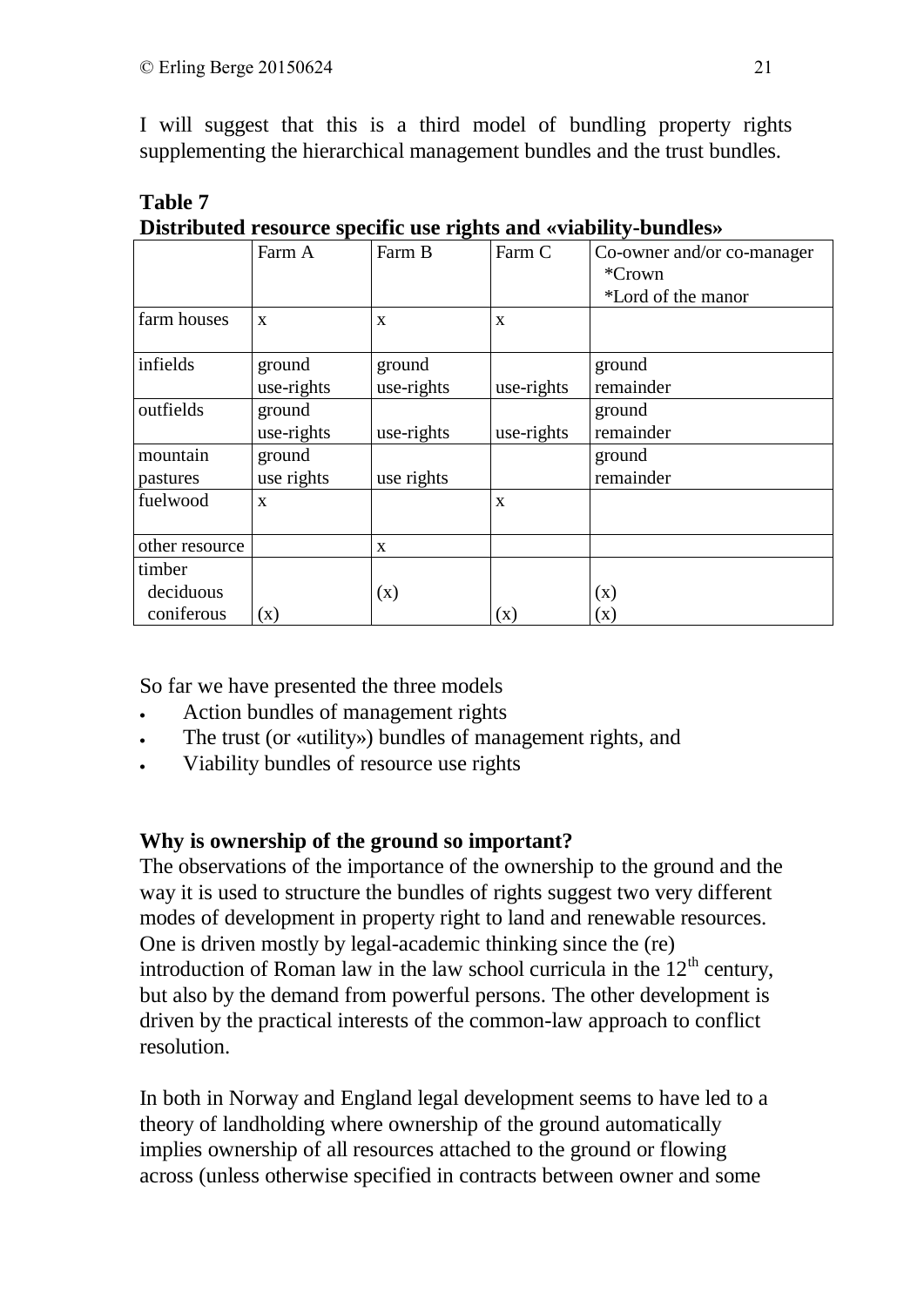I will suggest that this is a third model of bundling property rights supplementing the hierarchical management bundles and the trust bundles.

|                |              |              |                | Distributed resource specific use rights and wrability-buildies/ |
|----------------|--------------|--------------|----------------|------------------------------------------------------------------|
|                | Farm A       | Farm B       | Farm C         | Co-owner and/or co-manager                                       |
|                |              |              |                | *Crown                                                           |
|                |              |              |                | *Lord of the manor                                               |
| farm houses    | $\mathbf{X}$ | $\mathbf{x}$ | $\mathbf{X}$   |                                                                  |
| infields       | ground       | ground       |                | ground                                                           |
|                | use-rights   | use-rights   | use-rights     | remainder                                                        |
| outfields      | ground       |              |                | ground                                                           |
|                | use-rights   | use-rights   | use-rights     | remainder                                                        |
| mountain       | ground       |              |                | ground                                                           |
| pastures       | use rights   | use rights   |                | remainder                                                        |
| fuelwood       | X            |              | X              |                                                                  |
| other resource |              | X            |                |                                                                  |
| timber         |              |              |                |                                                                  |
| deciduous      |              | (x)          |                | (x)                                                              |
| coniferous     | (x)          |              | $(\mathbf{x})$ | (x)                                                              |

#### **Table 7 Distributed resource specific use rights and «viability-bundles»**

So far we have presented the three models

- Action bundles of management rights
- The trust (or «utility») bundles of management rights, and
- Viability bundles of resource use rights

# **Why is ownership of the ground so important?**

The observations of the importance of the ownership to the ground and the way it is used to structure the bundles of rights suggest two very different modes of development in property right to land and renewable resources. One is driven mostly by legal-academic thinking since the (re) introduction of Roman law in the law school curricula in the  $12<sup>th</sup>$  century, but also by the demand from powerful persons. The other development is driven by the practical interests of the common-law approach to conflict resolution.

In both in Norway and England legal development seems to have led to a theory of landholding where ownership of the ground automatically implies ownership of all resources attached to the ground or flowing across (unless otherwise specified in contracts between owner and some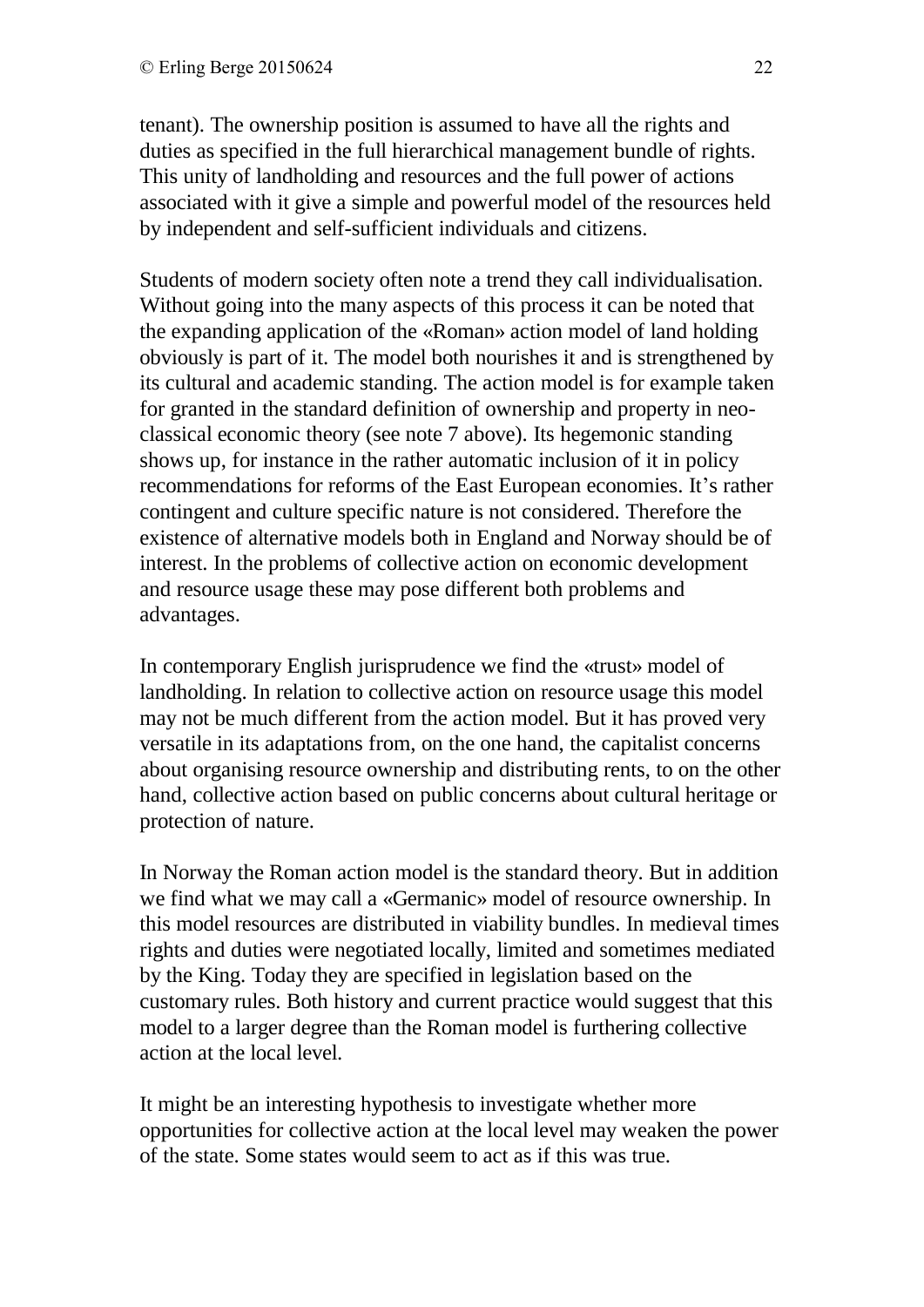tenant). The ownership position is assumed to have all the rights and duties as specified in the full hierarchical management bundle of rights. This unity of landholding and resources and the full power of actions associated with it give a simple and powerful model of the resources held by independent and self-sufficient individuals and citizens.

Students of modern society often note a trend they call individualisation. Without going into the many aspects of this process it can be noted that the expanding application of the «Roman» action model of land holding obviously is part of it. The model both nourishes it and is strengthened by its cultural and academic standing. The action model is for example taken for granted in the standard definition of ownership and property in neoclassical economic theory (see note 7 above). Its hegemonic standing shows up, for instance in the rather automatic inclusion of it in policy recommendations for reforms of the East European economies. It's rather contingent and culture specific nature is not considered. Therefore the existence of alternative models both in England and Norway should be of interest. In the problems of collective action on economic development and resource usage these may pose different both problems and advantages.

In contemporary English jurisprudence we find the «trust» model of landholding. In relation to collective action on resource usage this model may not be much different from the action model. But it has proved very versatile in its adaptations from, on the one hand, the capitalist concerns about organising resource ownership and distributing rents, to on the other hand, collective action based on public concerns about cultural heritage or protection of nature.

In Norway the Roman action model is the standard theory. But in addition we find what we may call a «Germanic» model of resource ownership. In this model resources are distributed in viability bundles. In medieval times rights and duties were negotiated locally, limited and sometimes mediated by the King. Today they are specified in legislation based on the customary rules. Both history and current practice would suggest that this model to a larger degree than the Roman model is furthering collective action at the local level.

It might be an interesting hypothesis to investigate whether more opportunities for collective action at the local level may weaken the power of the state. Some states would seem to act as if this was true.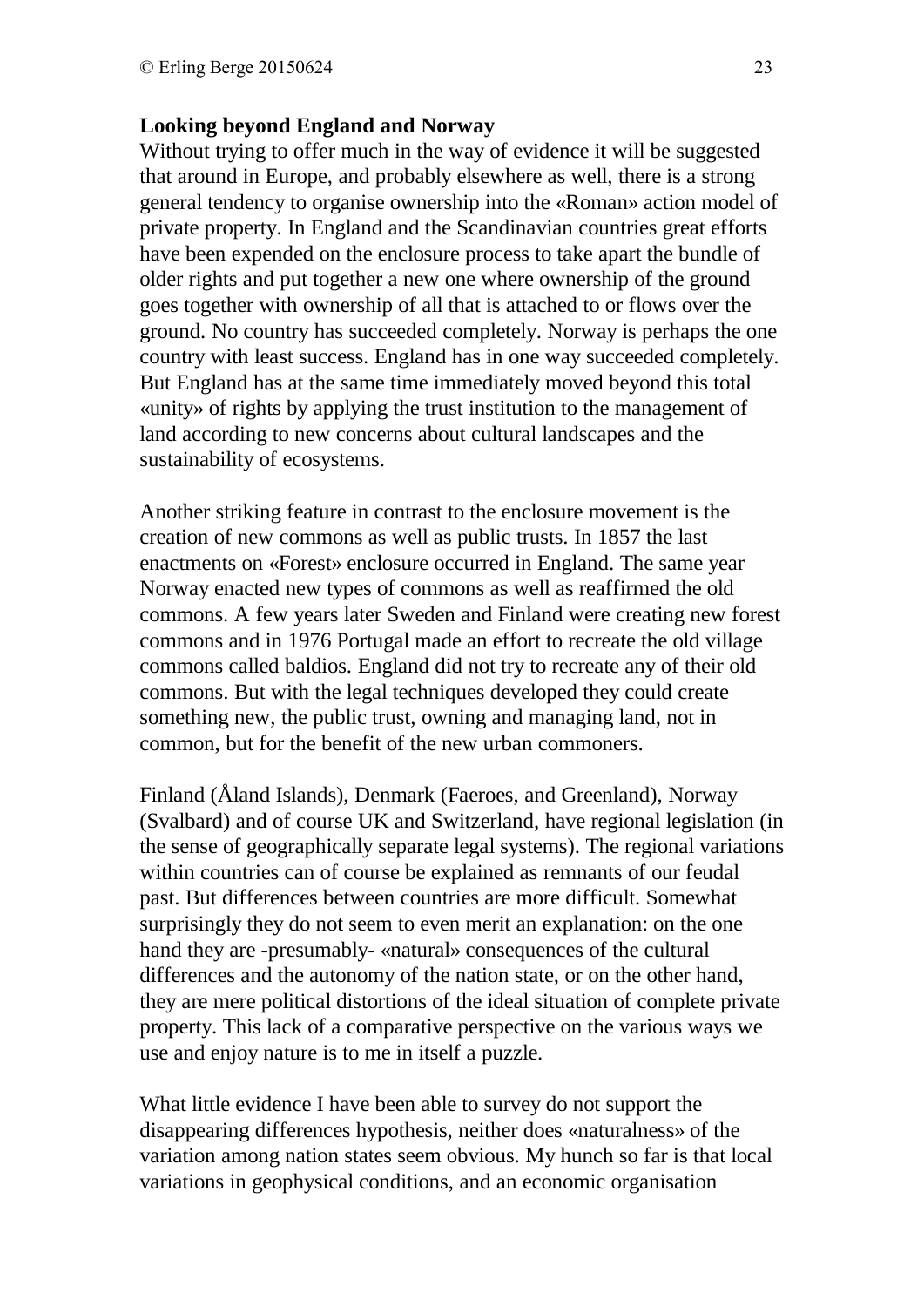#### **Looking beyond England and Norway**

Without trying to offer much in the way of evidence it will be suggested that around in Europe, and probably elsewhere as well, there is a strong general tendency to organise ownership into the «Roman» action model of private property. In England and the Scandinavian countries great efforts have been expended on the enclosure process to take apart the bundle of older rights and put together a new one where ownership of the ground goes together with ownership of all that is attached to or flows over the ground. No country has succeeded completely. Norway is perhaps the one country with least success. England has in one way succeeded completely. But England has at the same time immediately moved beyond this total «unity» of rights by applying the trust institution to the management of land according to new concerns about cultural landscapes and the sustainability of ecosystems.

Another striking feature in contrast to the enclosure movement is the creation of new commons as well as public trusts. In 1857 the last enactments on «Forest» enclosure occurred in England. The same year Norway enacted new types of commons as well as reaffirmed the old commons. A few years later Sweden and Finland were creating new forest commons and in 1976 Portugal made an effort to recreate the old village commons called baldios. England did not try to recreate any of their old commons. But with the legal techniques developed they could create something new, the public trust, owning and managing land, not in common, but for the benefit of the new urban commoners.

Finland (Åland Islands), Denmark (Faeroes, and Greenland), Norway (Svalbard) and of course UK and Switzerland, have regional legislation (in the sense of geographically separate legal systems). The regional variations within countries can of course be explained as remnants of our feudal past. But differences between countries are more difficult. Somewhat surprisingly they do not seem to even merit an explanation: on the one hand they are -presumably- «natural» consequences of the cultural differences and the autonomy of the nation state, or on the other hand, they are mere political distortions of the ideal situation of complete private property. This lack of a comparative perspective on the various ways we use and enjoy nature is to me in itself a puzzle.

What little evidence I have been able to survey do not support the disappearing differences hypothesis, neither does «naturalness» of the variation among nation states seem obvious. My hunch so far is that local variations in geophysical conditions, and an economic organisation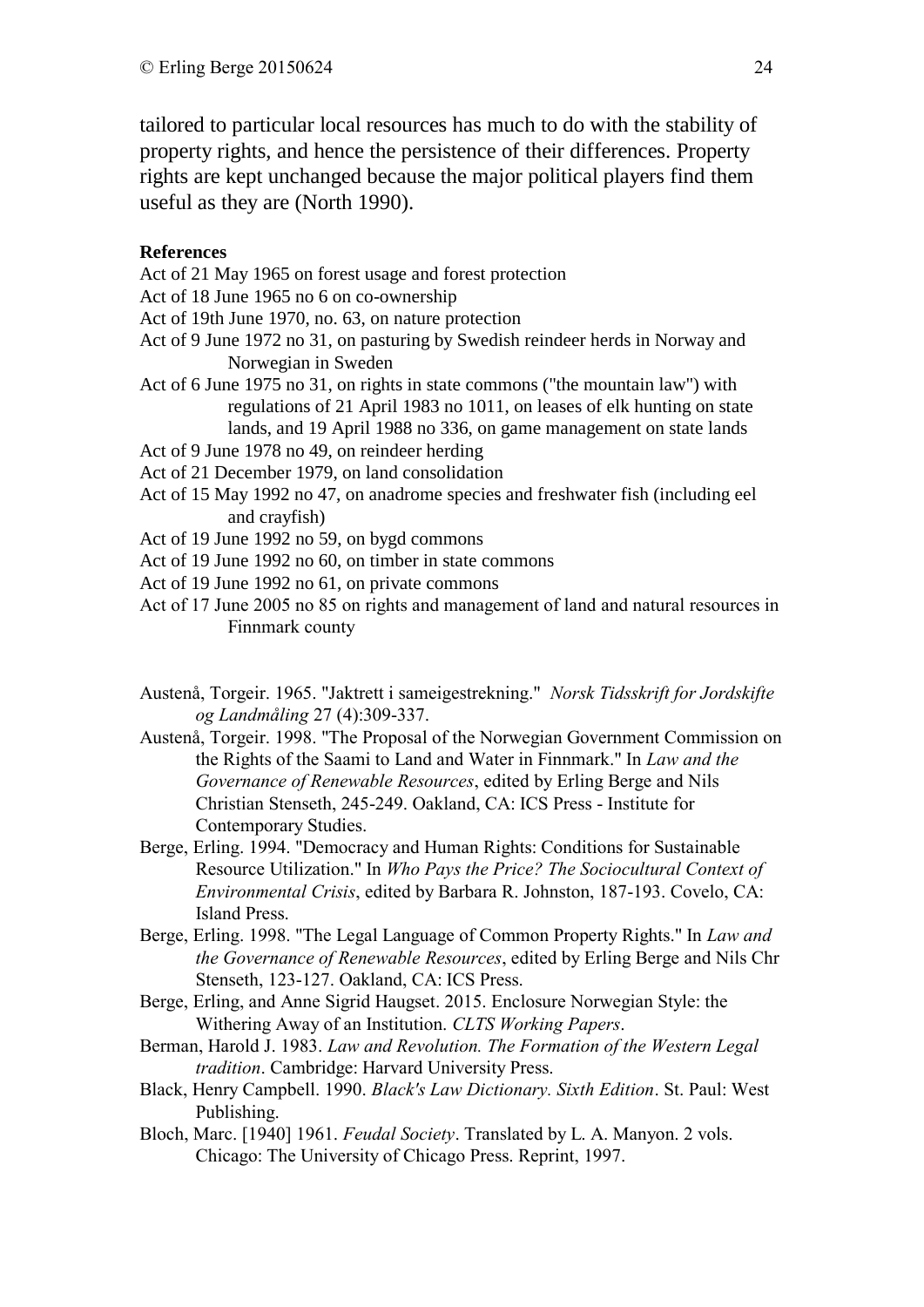tailored to particular local resources has much to do with the stability of property rights, and hence the persistence of their differences. Property rights are kept unchanged because the major political players find them useful as they are (North 1990).

#### **References**

Act of 21 May 1965 on forest usage and forest protection

Act of 18 June 1965 no 6 on co-ownership

- Act of 19th June 1970, no. 63, on nature protection
- Act of 9 June 1972 no 31, on pasturing by Swedish reindeer herds in Norway and Norwegian in Sweden
- Act of 6 June 1975 no 31, on rights in state commons ("the mountain law") with regulations of 21 April 1983 no 1011, on leases of elk hunting on state lands, and 19 April 1988 no 336, on game management on state lands
- Act of 9 June 1978 no 49, on reindeer herding
- Act of 21 December 1979, on land consolidation
- Act of 15 May 1992 no 47, on anadrome species and freshwater fish (including eel and crayfish)

Act of 19 June 1992 no 59, on bygd commons

- Act of 19 June 1992 no 60, on timber in state commons
- Act of 19 June 1992 no 61, on private commons
- Act of 17 June 2005 no 85 on rights and management of land and natural resources in Finnmark county
- Austenå, Torgeir. 1965. "Jaktrett i sameigestrekning." *Norsk Tidsskrift for Jordskifte og Landmåling* 27 (4):309-337.
- Austenå, Torgeir. 1998. "The Proposal of the Norwegian Government Commission on the Rights of the Saami to Land and Water in Finnmark." In *Law and the Governance of Renewable Resources*, edited by Erling Berge and Nils Christian Stenseth, 245-249. Oakland, CA: ICS Press - Institute for Contemporary Studies.
- Berge, Erling. 1994. "Democracy and Human Rights: Conditions for Sustainable Resource Utilization." In *Who Pays the Price? The Sociocultural Context of Environmental Crisis*, edited by Barbara R. Johnston, 187-193. Covelo, CA: Island Press.
- Berge, Erling. 1998. "The Legal Language of Common Property Rights." In *Law and the Governance of Renewable Resources*, edited by Erling Berge and Nils Chr Stenseth, 123-127. Oakland, CA: ICS Press.
- Berge, Erling, and Anne Sigrid Haugset. 2015. Enclosure Norwegian Style: the Withering Away of an Institution. *CLTS Working Papers*.
- Berman, Harold J. 1983. *Law and Revolution. The Formation of the Western Legal tradition*. Cambridge: Harvard University Press.
- Black, Henry Campbell. 1990. *Black's Law Dictionary. Sixth Edition*. St. Paul: West Publishing.
- Bloch, Marc. [1940] 1961. *Feudal Society*. Translated by L. A. Manyon. 2 vols. Chicago: The University of Chicago Press. Reprint, 1997.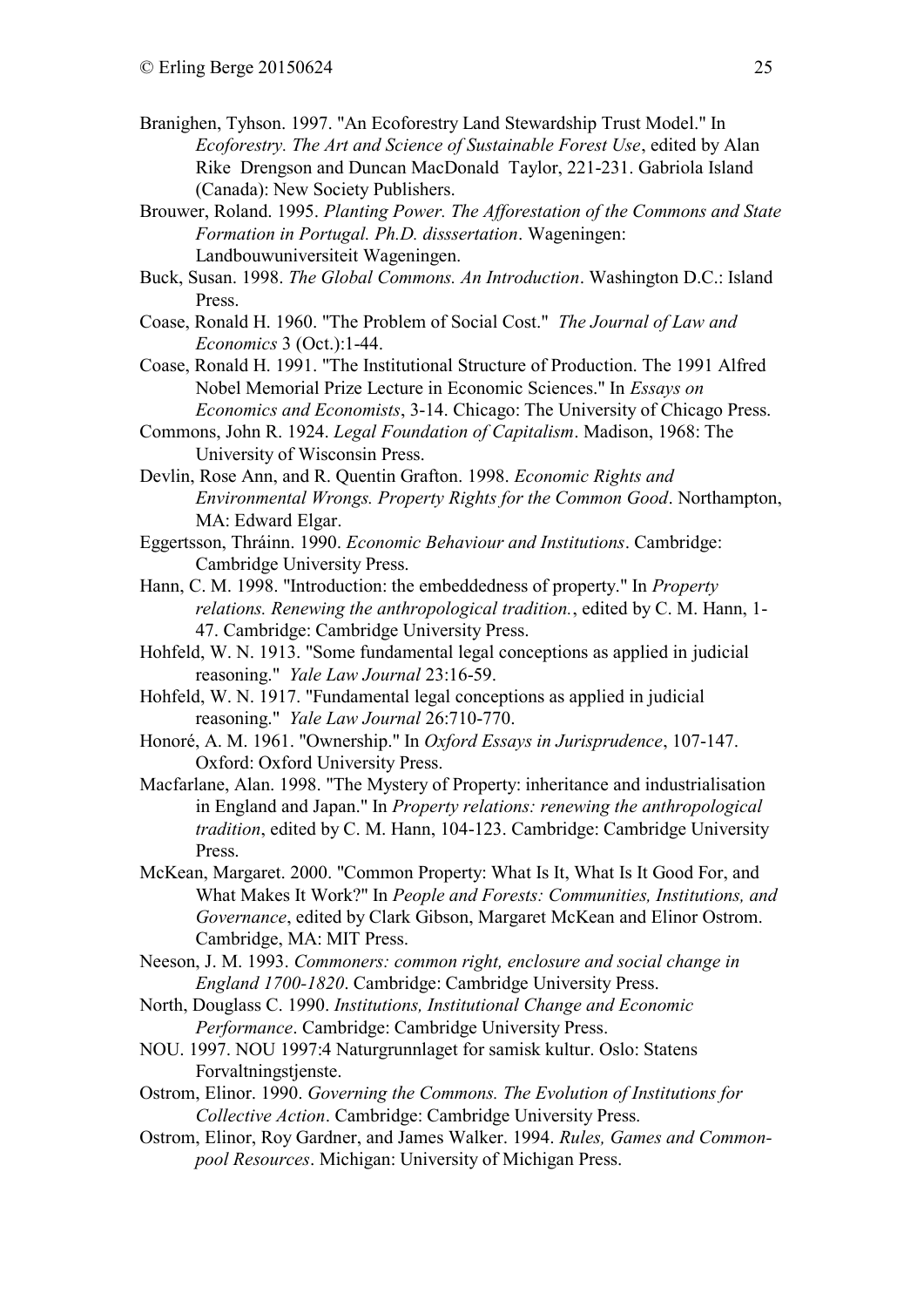- Branighen, Tyhson. 1997. "An Ecoforestry Land Stewardship Trust Model." In *Ecoforestry. The Art and Science of Sustainable Forest Use*, edited by Alan Rike Drengson and Duncan MacDonald Taylor, 221-231. Gabriola Island (Canada): New Society Publishers.
- Brouwer, Roland. 1995. *Planting Power. The Afforestation of the Commons and State Formation in Portugal. Ph.D. disssertation*. Wageningen: Landbouwuniversiteit Wageningen.
- Buck, Susan. 1998. *The Global Commons. An Introduction*. Washington D.C.: Island Press.
- Coase, Ronald H. 1960. "The Problem of Social Cost." *The Journal of Law and Economics* 3 (Oct.):1-44.
- Coase, Ronald H. 1991. "The Institutional Structure of Production. The 1991 Alfred Nobel Memorial Prize Lecture in Economic Sciences." In *Essays on Economics and Economists*, 3-14. Chicago: The University of Chicago Press.
- Commons, John R. 1924. *Legal Foundation of Capitalism*. Madison, 1968: The University of Wisconsin Press.
- Devlin, Rose Ann, and R. Quentin Grafton. 1998. *Economic Rights and Environmental Wrongs. Property Rights for the Common Good*. Northampton, MA: Edward Elgar.
- Eggertsson, Thráinn. 1990. *Economic Behaviour and Institutions*. Cambridge: Cambridge University Press.
- Hann, C. M. 1998. "Introduction: the embeddedness of property." In *Property relations. Renewing the anthropological tradition.*, edited by C. M. Hann, 1- 47. Cambridge: Cambridge University Press.
- Hohfeld, W. N. 1913. "Some fundamental legal conceptions as applied in judicial reasoning." *Yale Law Journal* 23:16-59.
- Hohfeld, W. N. 1917. "Fundamental legal conceptions as applied in judicial reasoning." *Yale Law Journal* 26:710-770.
- Honoré, A. M. 1961. "Ownership." In *Oxford Essays in Jurisprudence*, 107-147. Oxford: Oxford University Press.
- Macfarlane, Alan. 1998. "The Mystery of Property: inheritance and industrialisation in England and Japan." In *Property relations: renewing the anthropological tradition*, edited by C. M. Hann, 104-123. Cambridge: Cambridge University Press.
- McKean, Margaret. 2000. "Common Property: What Is It, What Is It Good For, and What Makes It Work?" In *People and Forests: Communities, Institutions, and Governance*, edited by Clark Gibson, Margaret McKean and Elinor Ostrom. Cambridge, MA: MIT Press.
- Neeson, J. M. 1993. *Commoners: common right, enclosure and social change in England 1700-1820*. Cambridge: Cambridge University Press.
- North, Douglass C. 1990. *Institutions, Institutional Change and Economic Performance*. Cambridge: Cambridge University Press.
- NOU. 1997. NOU 1997:4 Naturgrunnlaget for samisk kultur. Oslo: Statens Forvaltningstjenste.
- Ostrom, Elinor. 1990. *Governing the Commons. The Evolution of Institutions for Collective Action*. Cambridge: Cambridge University Press.
- Ostrom, Elinor, Roy Gardner, and James Walker. 1994. *Rules, Games and Commonpool Resources*. Michigan: University of Michigan Press.